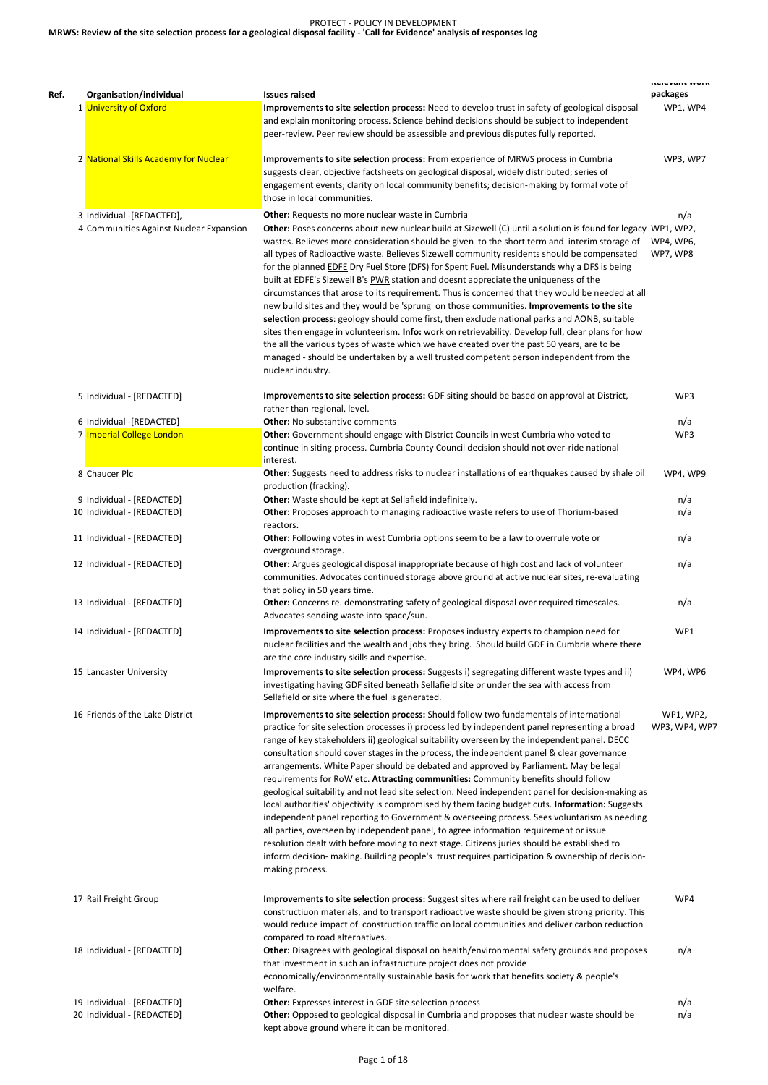# PROTECT - POLICY IN DEVELOPMENT **MRWS: Review of the site selection process for a geological disposal facility - 'Call for Evidence' analysis of responses log**

| Organisation/individual                                              | <b>Issues raised</b>                                                                                                                                                                                                                                                                                                                                                                                                                                                                                                                                                                                                                                                                                                                                                                                                                                                                                                                                                                                                                                                                                                                                                             | . <del>.</del><br>packages   |
|----------------------------------------------------------------------|----------------------------------------------------------------------------------------------------------------------------------------------------------------------------------------------------------------------------------------------------------------------------------------------------------------------------------------------------------------------------------------------------------------------------------------------------------------------------------------------------------------------------------------------------------------------------------------------------------------------------------------------------------------------------------------------------------------------------------------------------------------------------------------------------------------------------------------------------------------------------------------------------------------------------------------------------------------------------------------------------------------------------------------------------------------------------------------------------------------------------------------------------------------------------------|------------------------------|
| 1 University of Oxford                                               | Improvements to site selection process: Need to develop trust in safety of geological disposal<br>and explain monitoring process. Science behind decisions should be subject to independent<br>peer-review. Peer review should be assessible and previous disputes fully reported.                                                                                                                                                                                                                                                                                                                                                                                                                                                                                                                                                                                                                                                                                                                                                                                                                                                                                               | WP1, WP4                     |
| 2 National Skills Academy for Nuclear                                | Improvements to site selection process: From experience of MRWS process in Cumbria<br>suggests clear, objective factsheets on geological disposal, widely distributed; series of<br>engagement events; clarity on local community benefits; decision-making by formal vote of<br>those in local communities.                                                                                                                                                                                                                                                                                                                                                                                                                                                                                                                                                                                                                                                                                                                                                                                                                                                                     | WP3, WP7                     |
| 3 Individual -[REDACTED],<br>4 Communities Against Nuclear Expansion | Other: Requests no more nuclear waste in Cumbria<br>Other: Poses concerns about new nuclear build at Sizewell (C) until a solution is found for legacy WP1, WP2,<br>wastes. Believes more consideration should be given to the short term and interim storage of<br>all types of Radioactive waste. Believes Sizewell community residents should be compensated<br>for the planned <b>EDFE</b> Dry Fuel Store (DFS) for Spent Fuel. Misunderstands why a DFS is being<br>built at EDFE's Sizewell B's PWR station and doesnt appreciate the uniqueness of the<br>circumstances that arose to its requirement. Thus is concerned that they would be needed at all<br>new build sites and they would be 'sprung' on those communities. Improvements to the site<br>selection process: geology should come first, then exclude national parks and AONB, suitable<br>sites then engage in volunteerism. Info: work on retrievability. Develop full, clear plans for how<br>the all the various types of waste which we have created over the past 50 years, are to be<br>managed - should be undertaken by a well trusted competent person independent from the<br>nuclear industry. | n/a<br>WP4, WP6,<br>WP7, WP8 |
| 5 Individual - [REDACTED]                                            | Improvements to site selection process: GDF siting should be based on approval at District,<br>rather than regional, level.                                                                                                                                                                                                                                                                                                                                                                                                                                                                                                                                                                                                                                                                                                                                                                                                                                                                                                                                                                                                                                                      | WP3                          |
| 6 Individual -[REDACTED]<br>7 Imperial College London                | <b>Other:</b> No substantive comments<br>Other: Government should engage with District Councils in west Cumbria who voted to<br>continue in siting process. Cumbria County Council decision should not over-ride national<br>interest.                                                                                                                                                                                                                                                                                                                                                                                                                                                                                                                                                                                                                                                                                                                                                                                                                                                                                                                                           | n/a<br>WP3                   |
| 8 Chaucer Plc                                                        | Other: Suggests need to address risks to nuclear installations of earthquakes caused by shale oil<br>production (fracking).                                                                                                                                                                                                                                                                                                                                                                                                                                                                                                                                                                                                                                                                                                                                                                                                                                                                                                                                                                                                                                                      | WP4, WP9                     |
| 9 Individual - [REDACTED]                                            | Other: Waste should be kept at Sellafield indefinitely.                                                                                                                                                                                                                                                                                                                                                                                                                                                                                                                                                                                                                                                                                                                                                                                                                                                                                                                                                                                                                                                                                                                          | n/a                          |
| 10 Individual - [REDACTED]                                           | Other: Proposes approach to managing radioactive waste refers to use of Thorium-based<br>reactors.                                                                                                                                                                                                                                                                                                                                                                                                                                                                                                                                                                                                                                                                                                                                                                                                                                                                                                                                                                                                                                                                               | n/a                          |
| 11 Individual - [REDACTED]                                           | Other: Following votes in west Cumbria options seem to be a law to overrule vote or<br>overground storage.                                                                                                                                                                                                                                                                                                                                                                                                                                                                                                                                                                                                                                                                                                                                                                                                                                                                                                                                                                                                                                                                       | n/a                          |
| 12 Individual - [REDACTED]                                           | Other: Argues geological disposal inappropriate because of high cost and lack of volunteer<br>communities. Advocates continued storage above ground at active nuclear sites, re-evaluating<br>that policy in 50 years time.                                                                                                                                                                                                                                                                                                                                                                                                                                                                                                                                                                                                                                                                                                                                                                                                                                                                                                                                                      | n/a                          |
| 13 Individual - [REDACTED]                                           | Other: Concerns re. demonstrating safety of geological disposal over required timescales.<br>Advocates sending waste into space/sun.                                                                                                                                                                                                                                                                                                                                                                                                                                                                                                                                                                                                                                                                                                                                                                                                                                                                                                                                                                                                                                             | n/a                          |
| 14 Individual - [REDACTED]                                           | Improvements to site selection process: Proposes industry experts to champion need for<br>nuclear facilities and the wealth and jobs they bring. Should build GDF in Cumbria where there<br>are the core industry skills and expertise.                                                                                                                                                                                                                                                                                                                                                                                                                                                                                                                                                                                                                                                                                                                                                                                                                                                                                                                                          | WP1                          |
| 15 Lancaster University                                              | Improvements to site selection process: Suggests i) segregating different waste types and ii)<br>investigating having GDF sited beneath Sellafield site or under the sea with access from<br>Sellafield or site where the fuel is generated.                                                                                                                                                                                                                                                                                                                                                                                                                                                                                                                                                                                                                                                                                                                                                                                                                                                                                                                                     | WP4, WP6                     |
| 16 Friends of the Lake District                                      | Improvements to site selection process: Should follow two fundamentals of international<br>practice for site selection processes i) process led by independent panel representing a broad<br>range of key stakeholders ii) geological suitability overseen by the independent panel. DECC<br>consultation should cover stages in the process, the independent panel & clear governance<br>arrangements. White Paper should be debated and approved by Parliament. May be legal<br>requirements for RoW etc. Attracting communities: Community benefits should follow<br>geological suitability and not lead site selection. Need independent panel for decision-making as                                                                                                                                                                                                                                                                                                                                                                                                                                                                                                        | WP1, WP2,<br>WP3, WP4, WP7   |

local authorities' objectivity is compromised by them facing budget cuts. **Information:** Suggests independent panel reporting to Government & overseeing process. Sees voluntarism as needing all parties, overseen by independent panel, to agree information requirement or issue resolution dealt with before moving to next stage. Citizens juries should be established to inform decision- making. Building people's trust requires participation & ownership of decisionmaking process.

17 Rail Freight Group **Improvements to site selection process:** Suggest sites where rail freight can be used to deliver constructiuon materials, and to transport radioactive waste should be given strong priority. This would reduce impact of construction traffic on local communities and deliver carbon reduction compared to road alternatives. WP4 18 Individual - [REDACTED] **Other:** Disagrees with geological disposal on health/environmental safety grounds and proposes that investment in such an infrastructure project does not provide economically/environmentally sustainable basis for work that benefits society & people's welfare. n/a 19 Individual - [REDACTED] **Other:** Expresses interest in GDF site selection process nearly selection process n/a 20 Individual - [REDACTED] **Other:** Opposed to geological disposal in Cumbria and proposes that nuclear waste should be kept above ground where it can be monitored. n/a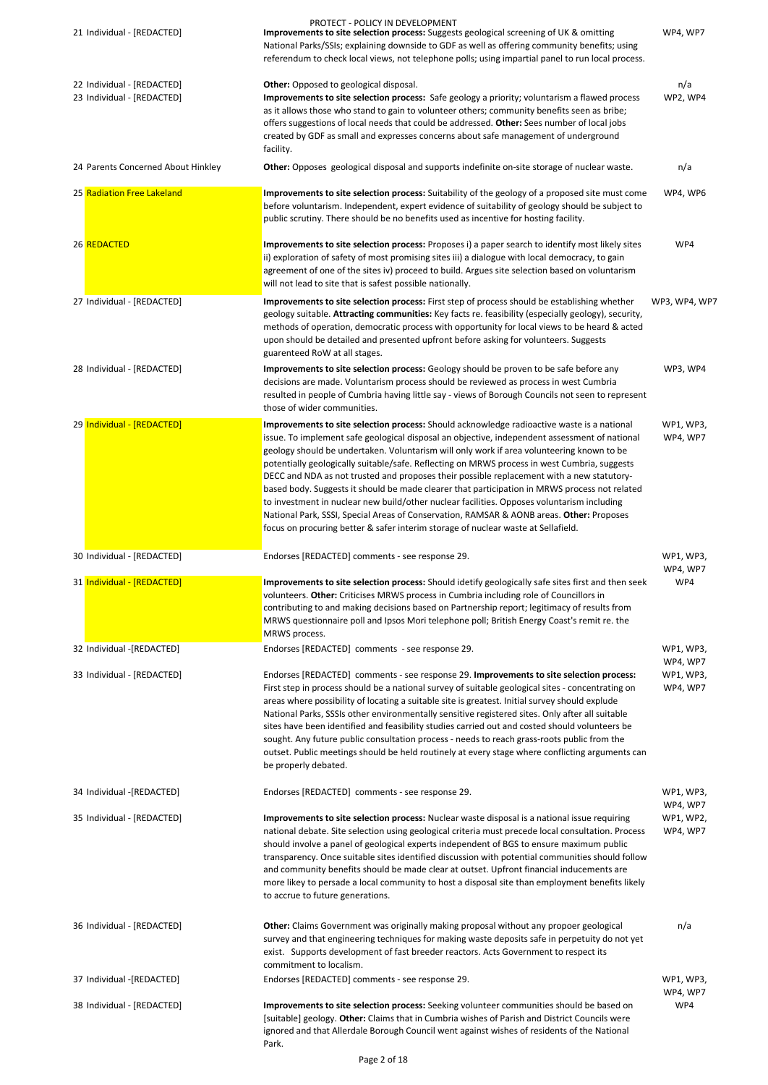| 21 Individual - [REDACTED]                               | PROTECT - POLICY IN DEVELOPMENT<br>Improvements to site selection process: Suggests geological screening of UK & omitting<br>National Parks/SSIs; explaining downside to GDF as well as offering community benefits; using<br>referendum to check local views, not telephone polls; using impartial panel to run local process.                                                                                                                                                                                                                                                                                                                                                                                                                                                                                                                                       | WP4, WP7              |
|----------------------------------------------------------|-----------------------------------------------------------------------------------------------------------------------------------------------------------------------------------------------------------------------------------------------------------------------------------------------------------------------------------------------------------------------------------------------------------------------------------------------------------------------------------------------------------------------------------------------------------------------------------------------------------------------------------------------------------------------------------------------------------------------------------------------------------------------------------------------------------------------------------------------------------------------|-----------------------|
| 22 Individual - [REDACTED]<br>23 Individual - [REDACTED] | Other: Opposed to geological disposal.<br>Improvements to site selection process: Safe geology a priority; voluntarism a flawed process<br>as it allows those who stand to gain to volunteer others; community benefits seen as bribe;<br>offers suggestions of local needs that could be addressed. Other: Sees number of local jobs<br>created by GDF as small and expresses concerns about safe management of underground<br>facility.                                                                                                                                                                                                                                                                                                                                                                                                                             | n/a<br>WP2, WP4       |
| 24 Parents Concerned About Hinkley                       | Other: Opposes geological disposal and supports indefinite on-site storage of nuclear waste.                                                                                                                                                                                                                                                                                                                                                                                                                                                                                                                                                                                                                                                                                                                                                                          | n/a                   |
| 25 Radiation Free Lakeland                               | Improvements to site selection process: Suitability of the geology of a proposed site must come<br>before voluntarism. Independent, expert evidence of suitability of geology should be subject to<br>public scrutiny. There should be no benefits used as incentive for hosting facility.                                                                                                                                                                                                                                                                                                                                                                                                                                                                                                                                                                            | WP4, WP6              |
| 26 REDACTED                                              | Improvements to site selection process: Proposes i) a paper search to identify most likely sites<br>ii) exploration of safety of most promising sites iii) a dialogue with local democracy, to gain<br>agreement of one of the sites iv) proceed to build. Argues site selection based on voluntarism<br>will not lead to site that is safest possible nationally.                                                                                                                                                                                                                                                                                                                                                                                                                                                                                                    | WP4                   |
| 27 Individual - [REDACTED]                               | Improvements to site selection process: First step of process should be establishing whether<br>geology suitable. Attracting communities: Key facts re. feasibility (especially geology), security,<br>methods of operation, democratic process with opportunity for local views to be heard & acted<br>upon should be detailed and presented upfront before asking for volunteers. Suggests<br>guarenteed RoW at all stages.                                                                                                                                                                                                                                                                                                                                                                                                                                         | WP3, WP4, WP7         |
| 28 Individual - [REDACTED]                               | Improvements to site selection process: Geology should be proven to be safe before any<br>decisions are made. Voluntarism process should be reviewed as process in west Cumbria<br>resulted in people of Cumbria having little say - views of Borough Councils not seen to represent<br>those of wider communities.                                                                                                                                                                                                                                                                                                                                                                                                                                                                                                                                                   | WP3, WP4              |
| 29 Individual - [REDACTED]                               | Improvements to site selection process: Should acknowledge radioactive waste is a national<br>issue. To implement safe geological disposal an objective, independent assessment of national<br>geology should be undertaken. Voluntarism will only work if area volunteering known to be<br>potentially geologically suitable/safe. Reflecting on MRWS process in west Cumbria, suggests<br>DECC and NDA as not trusted and proposes their possible replacement with a new statutory-<br>based body. Suggests it should be made clearer that participation in MRWS process not related<br>to investment in nuclear new build/other nuclear facilities. Opposes voluntarism including<br>National Park, SSSI, Special Areas of Conservation, RAMSAR & AONB areas. Other: Proposes<br>focus on procuring better & safer interim storage of nuclear waste at Sellafield. | WP1, WP3,<br>WP4, WP7 |
| 30 Individual - [REDACTED]                               | Endorses [REDACTED] comments - see response 29.                                                                                                                                                                                                                                                                                                                                                                                                                                                                                                                                                                                                                                                                                                                                                                                                                       | WP1, WP3,<br>WP4, WP7 |
| 31 Individual - [REDACTED]                               | Improvements to site selection process: Should idetify geologically safe sites first and then seek<br>volunteers. Other: Criticises MRWS process in Cumbria including role of Councillors in<br>contributing to and making decisions based on Partnership report; legitimacy of results from<br>MRWS questionnaire poll and Ipsos Mori telephone poll; British Energy Coast's remit re. the<br>MRWS process.                                                                                                                                                                                                                                                                                                                                                                                                                                                          | WP4                   |
| 32 Individual -[REDACTED]                                | Endorses [REDACTED] comments - see response 29.                                                                                                                                                                                                                                                                                                                                                                                                                                                                                                                                                                                                                                                                                                                                                                                                                       | WP1, WP3,<br>WP4, WP7 |
| 33 Individual - [REDACTED]                               | Endorses [REDACTED] comments - see response 29. Improvements to site selection process:<br>First step in process should be a national survey of suitable geological sites - concentrating on<br>areas where possibility of locating a suitable site is greatest. Initial survey should explude<br>National Parks, SSSIs other environmentally sensitive registered sites. Only after all suitable<br>sites have been identified and feasibility studies carried out and costed should volunteers be<br>sought. Any future public consultation process - needs to reach grass-roots public from the<br>outset. Public meetings should be held routinely at every stage where conflicting arguments can<br>be properly debated.                                                                                                                                         | WP1, WP3,<br>WP4, WP7 |
| 34 Individual -[REDACTED]                                | Endorses [REDACTED] comments - see response 29.                                                                                                                                                                                                                                                                                                                                                                                                                                                                                                                                                                                                                                                                                                                                                                                                                       | WP1, WP3,             |

|                            |                                                                                                                                                                                                                                                                                                                                                                                                                                                                                                                                                                                                                                       | WP4, WP7              |
|----------------------------|---------------------------------------------------------------------------------------------------------------------------------------------------------------------------------------------------------------------------------------------------------------------------------------------------------------------------------------------------------------------------------------------------------------------------------------------------------------------------------------------------------------------------------------------------------------------------------------------------------------------------------------|-----------------------|
| 35 Individual - [REDACTED] | Improvements to site selection process: Nuclear waste disposal is a national issue requiring<br>national debate. Site selection using geological criteria must precede local consultation. Process<br>should involve a panel of geological experts independent of BGS to ensure maximum public<br>transparency. Once suitable sites identified discussion with potential communities should follow<br>and community benefits should be made clear at outset. Upfront financial inducements are<br>more likey to persade a local community to host a disposal site than employment benefits likely<br>to accrue to future generations. | WP1, WP2,<br>WP4, WP7 |
| 36 Individual - [REDACTED] | Other: Claims Government was originally making proposal without any propoer geological<br>survey and that engineering techniques for making waste deposits safe in perpetuity do not yet<br>exist. Supports development of fast breeder reactors. Acts Government to respect its<br>commitment to localism.                                                                                                                                                                                                                                                                                                                           | n/a                   |
| 37 Individual -[REDACTED]  | Endorses [REDACTED] comments - see response 29.                                                                                                                                                                                                                                                                                                                                                                                                                                                                                                                                                                                       | WP1, WP3,<br>WP4, WP7 |
| 38 Individual - [REDACTED] | Improvements to site selection process: Seeking volunteer communities should be based on<br>[suitable] geology. Other: Claims that in Cumbria wishes of Parish and District Councils were<br>ignored and that Allerdale Borough Council went against wishes of residents of the National<br>Park.                                                                                                                                                                                                                                                                                                                                     | WP4                   |

Page 2 of 18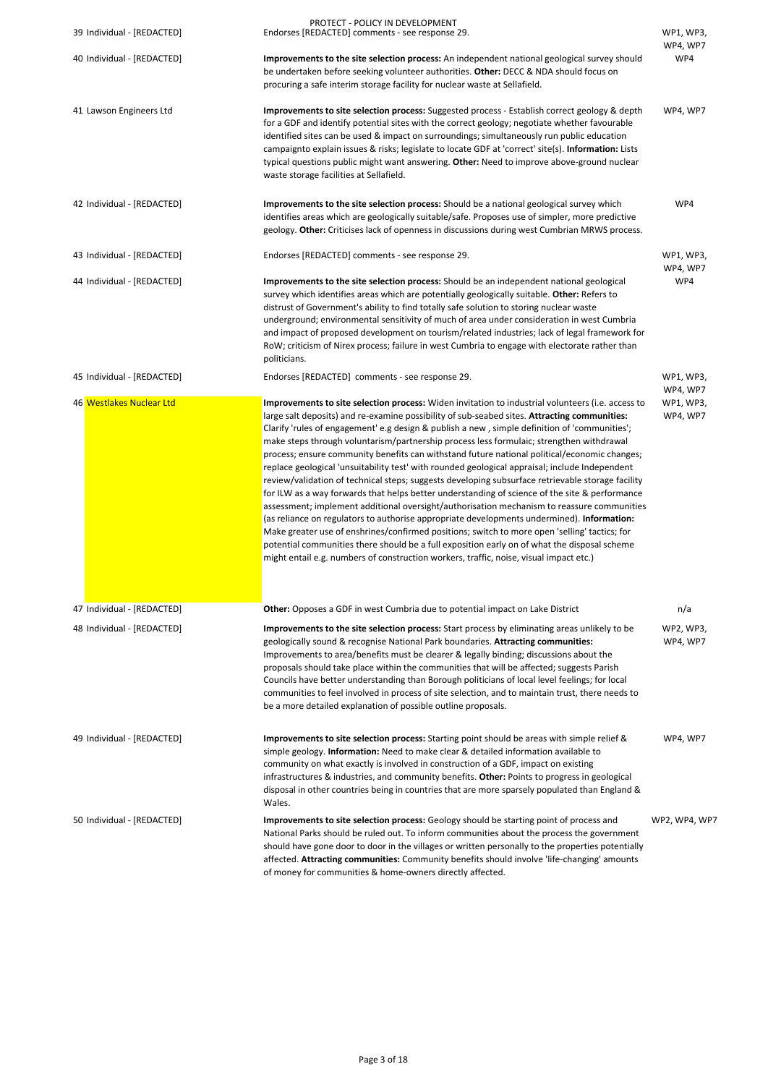| 39 Individual - [REDACTED] | PROTECT - POLICY IN DEVELOPMENT<br>Endorses [REDACTED] comments - see response 29.                                                                                                                                                                                                                                                                                                                                                                                                                                                                                                                                                                                                                                                                                                                                                                                                                                                                                                                                                                                                                                                                                                                                                                                                             | WP1, WP3,<br>WP4, WP7             |
|----------------------------|------------------------------------------------------------------------------------------------------------------------------------------------------------------------------------------------------------------------------------------------------------------------------------------------------------------------------------------------------------------------------------------------------------------------------------------------------------------------------------------------------------------------------------------------------------------------------------------------------------------------------------------------------------------------------------------------------------------------------------------------------------------------------------------------------------------------------------------------------------------------------------------------------------------------------------------------------------------------------------------------------------------------------------------------------------------------------------------------------------------------------------------------------------------------------------------------------------------------------------------------------------------------------------------------|-----------------------------------|
| 40 Individual - [REDACTED] | Improvements to the site selection process: An independent national geological survey should<br>be undertaken before seeking volunteer authorities. Other: DECC & NDA should focus on<br>procuring a safe interim storage facility for nuclear waste at Sellafield.                                                                                                                                                                                                                                                                                                                                                                                                                                                                                                                                                                                                                                                                                                                                                                                                                                                                                                                                                                                                                            | WP4                               |
| 41 Lawson Engineers Ltd    | Improvements to site selection process: Suggested process - Establish correct geology & depth<br>for a GDF and identify potential sites with the correct geology; negotiate whether favourable<br>identified sites can be used & impact on surroundings; simultaneously run public education<br>campaignto explain issues & risks; legislate to locate GDF at 'correct' site(s). Information: Lists<br>typical questions public might want answering. Other: Need to improve above-ground nuclear<br>waste storage facilities at Sellafield.                                                                                                                                                                                                                                                                                                                                                                                                                                                                                                                                                                                                                                                                                                                                                   | WP4, WP7                          |
| 42 Individual - [REDACTED] | Improvements to the site selection process: Should be a national geological survey which<br>identifies areas which are geologically suitable/safe. Proposes use of simpler, more predictive<br>geology. Other: Criticises lack of openness in discussions during west Cumbrian MRWS process.                                                                                                                                                                                                                                                                                                                                                                                                                                                                                                                                                                                                                                                                                                                                                                                                                                                                                                                                                                                                   | WP4                               |
| 43 Individual - [REDACTED] | Endorses [REDACTED] comments - see response 29.                                                                                                                                                                                                                                                                                                                                                                                                                                                                                                                                                                                                                                                                                                                                                                                                                                                                                                                                                                                                                                                                                                                                                                                                                                                | WP1, WP3,                         |
| 44 Individual - [REDACTED] | Improvements to the site selection process: Should be an independent national geological<br>survey which identifies areas which are potentially geologically suitable. Other: Refers to<br>distrust of Government's ability to find totally safe solution to storing nuclear waste<br>underground; environmental sensitivity of much of area under consideration in west Cumbria<br>and impact of proposed development on tourism/related industries; lack of legal framework for<br>RoW; criticism of Nirex process; failure in west Cumbria to engage with electorate rather than<br>politicians.                                                                                                                                                                                                                                                                                                                                                                                                                                                                                                                                                                                                                                                                                            | WP4, WP7<br>WP4                   |
| 45 Individual - [REDACTED] | Endorses [REDACTED] comments - see response 29.                                                                                                                                                                                                                                                                                                                                                                                                                                                                                                                                                                                                                                                                                                                                                                                                                                                                                                                                                                                                                                                                                                                                                                                                                                                | WP1, WP3,                         |
| 46 Westlakes Nuclear Ltd   | Improvements to site selection process: Widen invitation to industrial volunteers (i.e. access to<br>large salt deposits) and re-examine possibility of sub-seabed sites. Attracting communities:<br>Clarify 'rules of engagement' e.g design & publish a new, simple definition of 'communities';<br>make steps through voluntarism/partnership process less formulaic; strengthen withdrawal<br>process; ensure community benefits can withstand future national political/economic changes;<br>replace geological 'unsuitability test' with rounded geological appraisal; include Independent<br>review/validation of technical steps; suggests developing subsurface retrievable storage facility<br>for ILW as a way forwards that helps better understanding of science of the site & performance<br>assessment; implement additional oversight/authorisation mechanism to reassure communities<br>(as reliance on regulators to authorise appropriate developments undermined). Information:<br>Make greater use of enshrines/confirmed positions; switch to more open 'selling' tactics; for<br>potential communities there should be a full exposition early on of what the disposal scheme<br>might entail e.g. numbers of construction workers, traffic, noise, visual impact etc.) | WP4, WP7<br>WP1, WP3,<br>WP4, WP7 |
| 47 Individual - [REDACTED] | <b>Other:</b> Opposes a GDF in west Cumbria due to potential impact on Lake District                                                                                                                                                                                                                                                                                                                                                                                                                                                                                                                                                                                                                                                                                                                                                                                                                                                                                                                                                                                                                                                                                                                                                                                                           | n/a                               |
| 48 Individual - [REDACTED] | Improvements to the site selection process: Start process by eliminating areas unlikely to be<br>geologically sound & recognise National Park boundaries. Attracting communities:<br>Improvements to area/benefits must be clearer & legally binding; discussions about the<br>proposals should take place within the communities that will be affected; suggests Parish<br>Councils have better understanding than Borough politicians of local level feelings; for local<br>communities to feel involved in process of site selection, and to maintain trust, there needs to<br>be a more detailed explanation of possible outline proposals.                                                                                                                                                                                                                                                                                                                                                                                                                                                                                                                                                                                                                                                | WP2, WP3,<br>WP4, WP7             |
| 49 Individual - [REDACTED] | Improvements to site selection process: Starting point should be areas with simple relief &<br>simple geology. Information: Need to make clear & detailed information available to<br>community on what exactly is involved in construction of a GDF, impact on existing<br>infrastructures & industries, and community benefits. Other: Points to progress in geological<br>disposal in other countries being in countries that are more sparsely populated than England &                                                                                                                                                                                                                                                                                                                                                                                                                                                                                                                                                                                                                                                                                                                                                                                                                    | WP4, WP7                          |

Wales.

50 Individual - [REDACTED] **Improvements to site selection process:** Geology should be starting point of process and National Parks should be ruled out. To inform communities about the process the government should have gone door to door in the villages or written personally to the properties potentially affected. **Attracting communities:** Community benefits should involve 'life-changing' amounts of money for communities & home-owners directly affected. WP2, WP4, WP7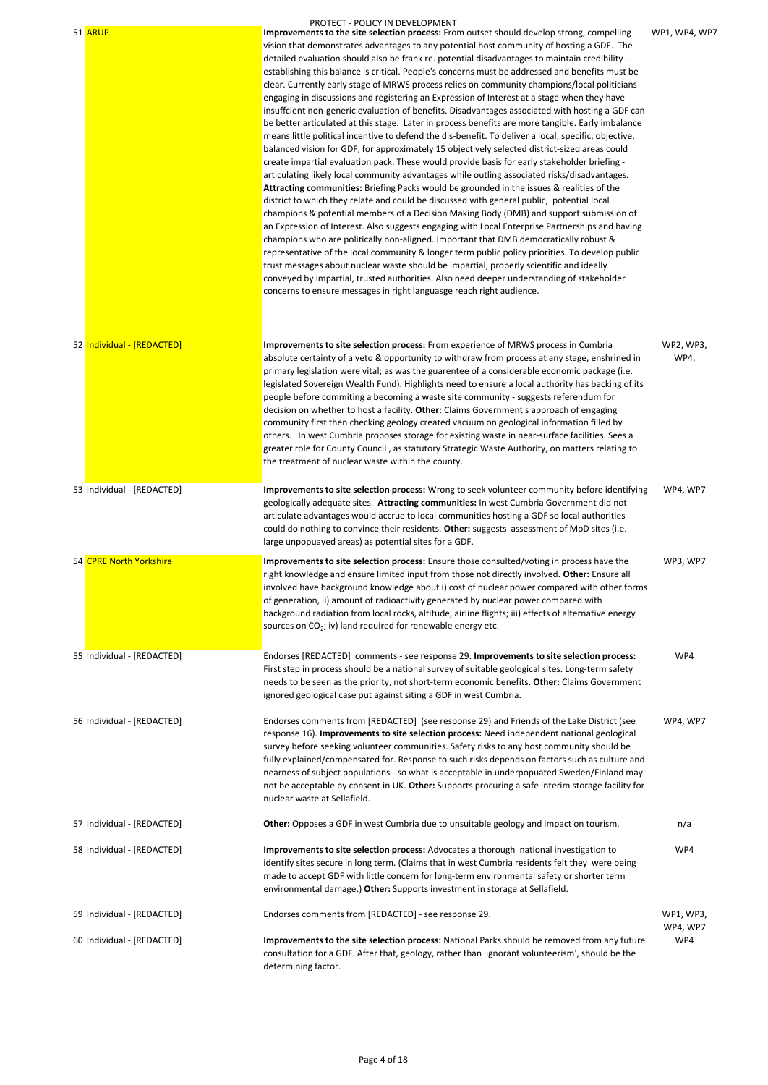|                            | PROTECT - POLICY IN DEVELOPMENT                                                                                                                                                                                                                                                                                                                                                                                                                                                                                                                                                                                                                                                                                                                                                                                                                                                                                                                                                                                                                                                                                                                                                                                                                                                                                                                                                                                                                                                                                                                                                                                                                                                                                                                                                                                                                                                                                                                                                                                                                                 |                   |
|----------------------------|-----------------------------------------------------------------------------------------------------------------------------------------------------------------------------------------------------------------------------------------------------------------------------------------------------------------------------------------------------------------------------------------------------------------------------------------------------------------------------------------------------------------------------------------------------------------------------------------------------------------------------------------------------------------------------------------------------------------------------------------------------------------------------------------------------------------------------------------------------------------------------------------------------------------------------------------------------------------------------------------------------------------------------------------------------------------------------------------------------------------------------------------------------------------------------------------------------------------------------------------------------------------------------------------------------------------------------------------------------------------------------------------------------------------------------------------------------------------------------------------------------------------------------------------------------------------------------------------------------------------------------------------------------------------------------------------------------------------------------------------------------------------------------------------------------------------------------------------------------------------------------------------------------------------------------------------------------------------------------------------------------------------------------------------------------------------|-------------------|
| 51 ARUP                    | Improvements to the site selection process: From outset should develop strong, compelling<br>vision that demonstrates advantages to any potential host community of hosting a GDF. The<br>detailed evaluation should also be frank re. potential disadvantages to maintain credibility -<br>establishing this balance is critical. People's concerns must be addressed and benefits must be<br>clear. Currently early stage of MRWS process relies on community champions/local politicians<br>engaging in discussions and registering an Expression of Interest at a stage when they have<br>insuffcient non-generic evaluation of benefits. Disadvantages associated with hosting a GDF can<br>be better articulated at this stage. Later in process benefits are more tangible. Early imbalance<br>means little political incentive to defend the dis-benefit. To deliver a local, specific, objective,<br>balanced vision for GDF, for approximately 15 objectively selected district-sized areas could<br>create impartial evaluation pack. These would provide basis for early stakeholder briefing -<br>articulating likely local community advantages while outling associated risks/disadvantages.<br>Attracting communities: Briefing Packs would be grounded in the issues & realities of the<br>district to which they relate and could be discussed with general public, potential local<br>champions & potential members of a Decision Making Body (DMB) and support submission of<br>an Expression of Interest. Also suggests engaging with Local Enterprise Partnerships and having<br>champions who are politically non-aligned. Important that DMB democratically robust &<br>representative of the local community & longer term public policy priorities. To develop public<br>trust messages about nuclear waste should be impartial, properly scientific and ideally<br>conveyed by impartial, trusted authorities. Also need deeper understanding of stakeholder<br>concerns to ensure messages in right languasge reach right audience. | WP1, WP4, WP7     |
| 52 Individual - [REDACTED] | Improvements to site selection process: From experience of MRWS process in Cumbria<br>absolute certainty of a veto & opportunity to withdraw from process at any stage, enshrined in<br>primary legislation were vital; as was the guarentee of a considerable economic package (i.e.<br>legislated Sovereign Wealth Fund). Highlights need to ensure a local authority has backing of its<br>people before commiting a becoming a waste site community - suggests referendum for<br>decision on whether to host a facility. Other: Claims Government's approach of engaging<br>community first then checking geology created vacuum on geological information filled by<br>others. In west Cumbria proposes storage for existing waste in near-surface facilities. Sees a<br>greater role for County Council, as statutory Strategic Waste Authority, on matters relating to<br>the treatment of nuclear waste within the county.                                                                                                                                                                                                                                                                                                                                                                                                                                                                                                                                                                                                                                                                                                                                                                                                                                                                                                                                                                                                                                                                                                                              | WP2, WP3,<br>WP4, |
| 53 Individual - [REDACTED] | Improvements to site selection process: Wrong to seek volunteer community before identifying<br>geologically adequate sites. Attracting communities: In west Cumbria Government did not<br>articulate advantages would accrue to local communities hosting a GDF so local authorities<br>could do nothing to convince their residents. Other: suggests assessment of MoD sites (i.e.<br>large unpopuayed areas) as potential sites for a GDF.                                                                                                                                                                                                                                                                                                                                                                                                                                                                                                                                                                                                                                                                                                                                                                                                                                                                                                                                                                                                                                                                                                                                                                                                                                                                                                                                                                                                                                                                                                                                                                                                                   | WP4, WP7          |
| 54 CPRE North Yorkshire    | Improvements to site selection process: Ensure those consulted/voting in process have the<br>right knowledge and ensure limited input from those not directly involved. Other: Ensure all<br>involved have background knowledge about i) cost of nuclear power compared with other forms<br>of generation, ii) amount of radioactivity generated by nuclear power compared with<br>background radiation from local rocks, altitude, airline flights; iii) effects of alternative energy<br>sources on CO <sub>2</sub> ; iv) land required for renewable energy etc.                                                                                                                                                                                                                                                                                                                                                                                                                                                                                                                                                                                                                                                                                                                                                                                                                                                                                                                                                                                                                                                                                                                                                                                                                                                                                                                                                                                                                                                                                             | WP3, WP7          |
| 55 Individual - [REDACTED] | Endorses [REDACTED] comments - see response 29. Improvements to site selection process:<br>First step in process should be a national survey of suitable geological sites. Long-term safety<br>needs to be seen as the priority, not short-term economic benefits. Other: Claims Government<br>ignored geological case put against siting a GDF in west Cumbria.                                                                                                                                                                                                                                                                                                                                                                                                                                                                                                                                                                                                                                                                                                                                                                                                                                                                                                                                                                                                                                                                                                                                                                                                                                                                                                                                                                                                                                                                                                                                                                                                                                                                                                | WP4               |
| 56 Individual - [REDACTED] | Endorses comments from [REDACTED] (see response 29) and Friends of the Lake District (see<br>response 16). Improvements to site selection process: Need independent national geological<br>survey before seeking volunteer communities. Safety risks to any host community should be<br>fully explained/compensated for. Response to such risks depends on factors such as culture and<br>nearness of subject populations - so what is acceptable in underpopuated Sweden/Finland may<br>not be acceptable by consent in UK. Other: Supports procuring a safe interim storage facility for<br>nuclear waste at Sellafield.                                                                                                                                                                                                                                                                                                                                                                                                                                                                                                                                                                                                                                                                                                                                                                                                                                                                                                                                                                                                                                                                                                                                                                                                                                                                                                                                                                                                                                      | WP4, WP7          |

| 57 Individual - [REDACTED] | Other: Opposes a GDF in west Cumbria due to unsuitable geology and impact on tourism.                                                                                                                                                                                                                                                                                 | n/a                   |
|----------------------------|-----------------------------------------------------------------------------------------------------------------------------------------------------------------------------------------------------------------------------------------------------------------------------------------------------------------------------------------------------------------------|-----------------------|
| 58 Individual - [REDACTED] | Improvements to site selection process: Advocates a thorough national investigation to<br>identify sites secure in long term. (Claims that in west Cumbria residents felt they were being<br>made to accept GDF with little concern for long-term environmental safety or shorter term<br>environmental damage.) Other: Supports investment in storage at Sellafield. | WP4                   |
| 59 Individual - [REDACTED] | Endorses comments from [REDACTED] - see response 29.                                                                                                                                                                                                                                                                                                                  | WP1, WP3,<br>WP4, WP7 |
| 60 Individual - [REDACTED] | Improvements to the site selection process: National Parks should be removed from any future<br>consultation for a GDF. After that, geology, rather than 'ignorant volunteerism', should be the<br>determining factor.                                                                                                                                                | WP4                   |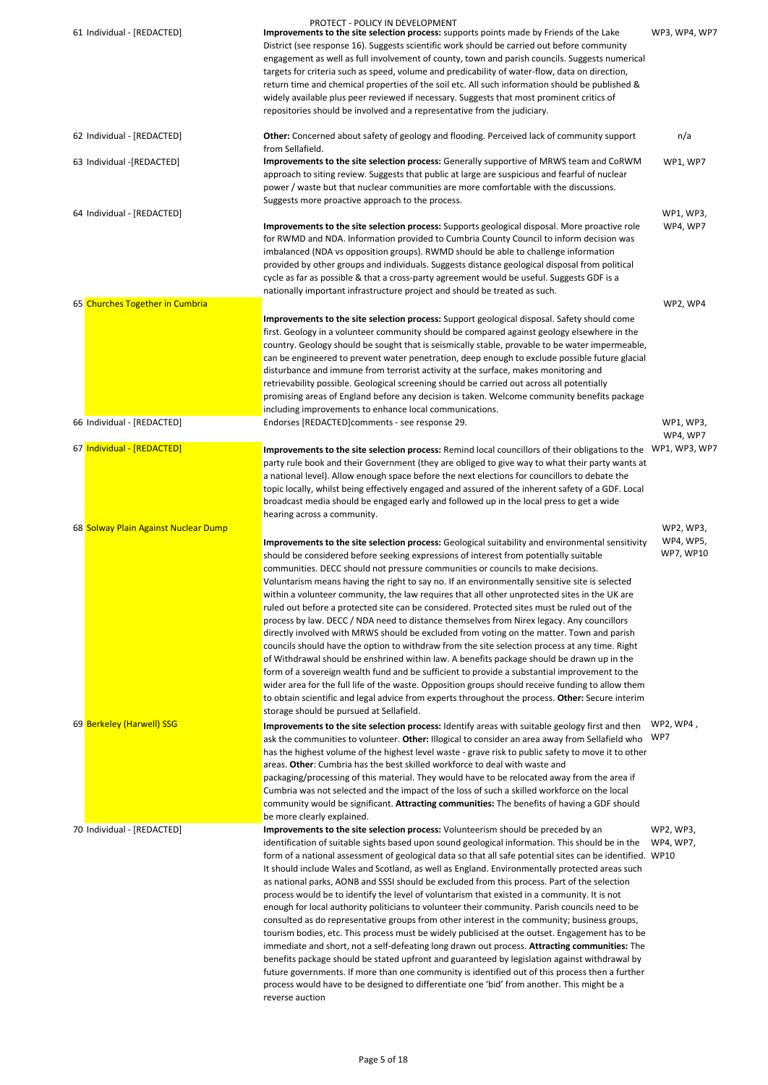| 61 Individual - [REDACTED]           | <b>PROTECT - POLICY IN DEVELOPMENT</b><br>Improvements to the site selection process: supports points made by Friends of the Lake<br>District (see response 16). Suggests scientific work should be carried out before community<br>engagement as well as full involvement of county, town and parish councils. Suggests numerical<br>targets for criteria such as speed, volume and predicability of water-flow, data on direction,<br>return time and chemical properties of the soil etc. All such information should be published &<br>widely available plus peer reviewed if necessary. Suggests that most prominent critics of<br>repositories should be involved and a representative from the judiciary.                                                                                                                                                                                                                                                                                                                                                                                                                                                                                                                                                                                                                  | WP3, WP4, WP7          |
|--------------------------------------|-----------------------------------------------------------------------------------------------------------------------------------------------------------------------------------------------------------------------------------------------------------------------------------------------------------------------------------------------------------------------------------------------------------------------------------------------------------------------------------------------------------------------------------------------------------------------------------------------------------------------------------------------------------------------------------------------------------------------------------------------------------------------------------------------------------------------------------------------------------------------------------------------------------------------------------------------------------------------------------------------------------------------------------------------------------------------------------------------------------------------------------------------------------------------------------------------------------------------------------------------------------------------------------------------------------------------------------|------------------------|
| 62 Individual - [REDACTED]           | Other: Concerned about safety of geology and flooding. Perceived lack of community support<br>from Sellafield.                                                                                                                                                                                                                                                                                                                                                                                                                                                                                                                                                                                                                                                                                                                                                                                                                                                                                                                                                                                                                                                                                                                                                                                                                    | n/a                    |
| 63 Individual -[REDACTED]            | Improvements to the site selection process: Generally supportive of MRWS team and CoRWM<br>approach to siting review. Suggests that public at large are suspicious and fearful of nuclear<br>power / waste but that nuclear communities are more comfortable with the discussions.<br>Suggests more proactive approach to the process.                                                                                                                                                                                                                                                                                                                                                                                                                                                                                                                                                                                                                                                                                                                                                                                                                                                                                                                                                                                            | <b>WP1, WP7</b>        |
| 64 Individual - [REDACTED]           |                                                                                                                                                                                                                                                                                                                                                                                                                                                                                                                                                                                                                                                                                                                                                                                                                                                                                                                                                                                                                                                                                                                                                                                                                                                                                                                                   | WP1, WP3,              |
|                                      | Improvements to the site selection process: Supports geological disposal. More proactive role<br>for RWMD and NDA. Information provided to Cumbria County Council to inform decision was<br>imbalanced (NDA vs opposition groups). RWMD should be able to challenge information<br>provided by other groups and individuals. Suggests distance geological disposal from political<br>cycle as far as possible & that a cross-party agreement would be useful. Suggests GDF is a<br>nationally important infrastructure project and should be treated as such.                                                                                                                                                                                                                                                                                                                                                                                                                                                                                                                                                                                                                                                                                                                                                                     | WP4, WP7               |
| 65 Churches Together in Cumbria      |                                                                                                                                                                                                                                                                                                                                                                                                                                                                                                                                                                                                                                                                                                                                                                                                                                                                                                                                                                                                                                                                                                                                                                                                                                                                                                                                   | WP2, WP4               |
|                                      | Improvements to the site selection process: Support geological disposal. Safety should come<br>first. Geology in a volunteer community should be compared against geology elsewhere in the<br>country. Geology should be sought that is seismically stable, provable to be water impermeable,<br>can be engineered to prevent water penetration, deep enough to exclude possible future glacial<br>disturbance and immune from terrorist activity at the surface, makes monitoring and<br>retrievability possible. Geological screening should be carried out across all potentially<br>promising areas of England before any decision is taken. Welcome community benefits package<br>including improvements to enhance local communications.                                                                                                                                                                                                                                                                                                                                                                                                                                                                                                                                                                                    |                        |
| 66 Individual - [REDACTED]           | Endorses [REDACTED]comments - see response 29.                                                                                                                                                                                                                                                                                                                                                                                                                                                                                                                                                                                                                                                                                                                                                                                                                                                                                                                                                                                                                                                                                                                                                                                                                                                                                    | WP1, WP3,<br>WP4, WP7  |
| 67 Individual - [REDACTED]           | Improvements to the site selection process: Remind local councillors of their obligations to the<br>party rule book and their Government (they are obliged to give way to what their party wants at<br>a national level). Allow enough space before the next elections for councillors to debate the<br>topic locally, whilst being effectively engaged and assured of the inherent safety of a GDF. Local<br>broadcast media should be engaged early and followed up in the local press to get a wide<br>hearing across a community.                                                                                                                                                                                                                                                                                                                                                                                                                                                                                                                                                                                                                                                                                                                                                                                             | WP1, WP3, WP7          |
| 68 Solway Plain Against Nuclear Dump |                                                                                                                                                                                                                                                                                                                                                                                                                                                                                                                                                                                                                                                                                                                                                                                                                                                                                                                                                                                                                                                                                                                                                                                                                                                                                                                                   | WP2, WP3,              |
|                                      | Improvements to the site selection process: Geological suitability and environmental sensitivity<br>should be considered before seeking expressions of interest from potentially suitable<br>communities. DECC should not pressure communities or councils to make decisions.<br>Voluntarism means having the right to say no. If an environmentally sensitive site is selected<br>within a volunteer community, the law requires that all other unprotected sites in the UK are<br>ruled out before a protected site can be considered. Protected sites must be ruled out of the<br>process by law. DECC / NDA need to distance themselves from Nirex legacy. Any councillors<br>directly involved with MRWS should be excluded from voting on the matter. Town and parish<br>councils should have the option to withdraw from the site selection process at any time. Right<br>of Withdrawal should be enshrined within law. A benefits package should be drawn up in the<br>form of a sovereign wealth fund and be sufficient to provide a substantial improvement to the<br>wider area for the full life of the waste. Opposition groups should receive funding to allow them<br>to obtain scientific and legal advice from experts throughout the process. Other: Secure interim<br>storage should be pursued at Sellafield. | WP4, WP5,<br>WP7, WP10 |
| 69 Berkeley (Harwell) SSG            | Improvements to the site selection process: Identify areas with suitable geology first and then<br>ask the communities to volunteer. Other: Illogical to consider an area away from Sellafield who<br>has the highest volume of the highest level waste - grave risk to public safety to move it to other<br>areas. Other: Cumbria has the best skilled workforce to deal with waste and<br>packaging/processing of this material. They would have to be relocated away from the area if<br>Cumbria was not selected and the impact of the loss of such a skilled workforce on the local                                                                                                                                                                                                                                                                                                                                                                                                                                                                                                                                                                                                                                                                                                                                          | WP2, WP4,<br>WP7       |

community would be significant. **Attracting communities:** The benefits of having a GDF should be more clearly explained.

70 Individual - [REDACTED] **Improvements to the site selection process:** Volunteerism should be preceded by an identification of suitable sights based upon sound geological information. This should be in the WP4, WP7, form of a national assessment of geological data so that all safe potential sites can be identified. WP10 It should include Wales and Scotland, as well as England. Environmentally protected areas such as national parks, AONB and SSSI should be excluded from this process. Part of the selection process would be to identify the level of voluntarism that existed in a community. It is not enough for local authority politicians to volunteer their community. Parish councils need to be consulted as do representative groups from other interest in the community; business groups, tourism bodies, etc. This process must be widely publicised at the outset. Engagement has to be immediate and short, not a self-defeating long drawn out process. **Attracting communities:** The benefits package should be stated upfront and guaranteed by legislation against withdrawal by future governments. If more than one community is identified out of this process then a further process would have to be designed to differentiate one 'bid' from another. This might be a reverse auction WP2, WP3,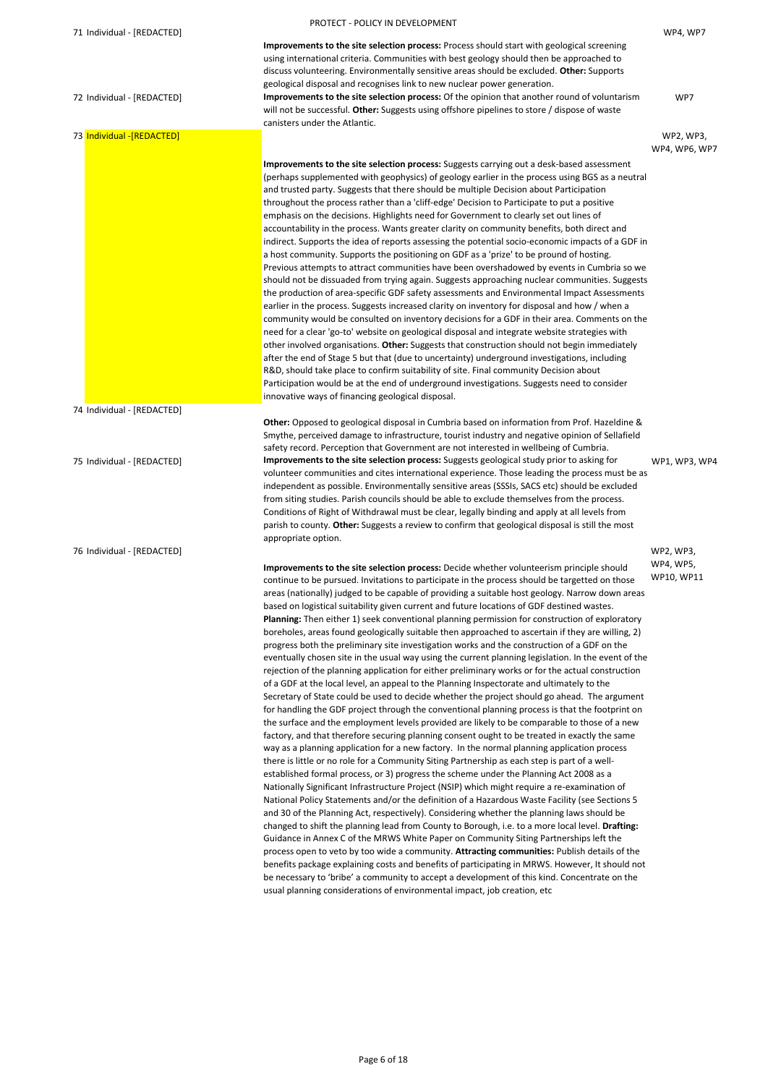|                            | PROTECT - POLICY IN DEVELOPMENT                                                                                                                                                                                                                                                                                                                                                                                                                                                                                                                                                                                                                                                                                                                                                                                                                                                                                                                                                                                                                                                                                                                                                                                                                                                                               |                         |
|----------------------------|---------------------------------------------------------------------------------------------------------------------------------------------------------------------------------------------------------------------------------------------------------------------------------------------------------------------------------------------------------------------------------------------------------------------------------------------------------------------------------------------------------------------------------------------------------------------------------------------------------------------------------------------------------------------------------------------------------------------------------------------------------------------------------------------------------------------------------------------------------------------------------------------------------------------------------------------------------------------------------------------------------------------------------------------------------------------------------------------------------------------------------------------------------------------------------------------------------------------------------------------------------------------------------------------------------------|-------------------------|
| 71 Individual - [REDACTED] |                                                                                                                                                                                                                                                                                                                                                                                                                                                                                                                                                                                                                                                                                                                                                                                                                                                                                                                                                                                                                                                                                                                                                                                                                                                                                                               | WP4, WP7                |
|                            | Improvements to the site selection process: Process should start with geological screening<br>using international criteria. Communities with best geology should then be approached to<br>discuss volunteering. Environmentally sensitive areas should be excluded. Other: Supports                                                                                                                                                                                                                                                                                                                                                                                                                                                                                                                                                                                                                                                                                                                                                                                                                                                                                                                                                                                                                           |                         |
| 72 Individual - [REDACTED] | geological disposal and recognises link to new nuclear power generation.<br>Improvements to the site selection process: Of the opinion that another round of voluntarism<br>will not be successful. Other: Suggests using offshore pipelines to store / dispose of waste<br>canisters under the Atlantic.                                                                                                                                                                                                                                                                                                                                                                                                                                                                                                                                                                                                                                                                                                                                                                                                                                                                                                                                                                                                     | WP7                     |
| 73 Individual -[REDACTED]  |                                                                                                                                                                                                                                                                                                                                                                                                                                                                                                                                                                                                                                                                                                                                                                                                                                                                                                                                                                                                                                                                                                                                                                                                                                                                                                               | WP2, WP3,               |
|                            |                                                                                                                                                                                                                                                                                                                                                                                                                                                                                                                                                                                                                                                                                                                                                                                                                                                                                                                                                                                                                                                                                                                                                                                                                                                                                                               | WP4, WP6, WP7           |
|                            | Improvements to the site selection process: Suggests carrying out a desk-based assessment<br>(perhaps supplemented with geophysics) of geology earlier in the process using BGS as a neutral<br>and trusted party. Suggests that there should be multiple Decision about Participation<br>throughout the process rather than a 'cliff-edge' Decision to Participate to put a positive<br>emphasis on the decisions. Highlights need for Government to clearly set out lines of<br>accountability in the process. Wants greater clarity on community benefits, both direct and                                                                                                                                                                                                                                                                                                                                                                                                                                                                                                                                                                                                                                                                                                                                 |                         |
|                            | indirect. Supports the idea of reports assessing the potential socio-economic impacts of a GDF in<br>a host community. Supports the positioning on GDF as a 'prize' to be pround of hosting.<br>Previous attempts to attract communities have been overshadowed by events in Cumbria so we<br>should not be dissuaded from trying again. Suggests approaching nuclear communities. Suggests                                                                                                                                                                                                                                                                                                                                                                                                                                                                                                                                                                                                                                                                                                                                                                                                                                                                                                                   |                         |
|                            | the production of area-specific GDF safety assessments and Environmental Impact Assessments<br>earlier in the process. Suggests increased clarity on inventory for disposal and how / when a<br>community would be consulted on inventory decisions for a GDF in their area. Comments on the<br>need for a clear 'go-to' website on geological disposal and integrate website strategies with<br>other involved organisations. Other: Suggests that construction should not begin immediately<br>after the end of Stage 5 but that (due to uncertainty) underground investigations, including<br>R&D, should take place to confirm suitability of site. Final community Decision about<br>Participation would be at the end of underground investigations. Suggests need to consider                                                                                                                                                                                                                                                                                                                                                                                                                                                                                                                          |                         |
|                            | innovative ways of financing geological disposal.                                                                                                                                                                                                                                                                                                                                                                                                                                                                                                                                                                                                                                                                                                                                                                                                                                                                                                                                                                                                                                                                                                                                                                                                                                                             |                         |
| 74 Individual - [REDACTED] |                                                                                                                                                                                                                                                                                                                                                                                                                                                                                                                                                                                                                                                                                                                                                                                                                                                                                                                                                                                                                                                                                                                                                                                                                                                                                                               |                         |
| 75 Individual - [REDACTED] | Other: Opposed to geological disposal in Cumbria based on information from Prof. Hazeldine &<br>Smythe, perceived damage to infrastructure, tourist industry and negative opinion of Sellafield<br>safety record. Perception that Government are not interested in wellbeing of Cumbria.<br>Improvements to the site selection process: Suggests geological study prior to asking for<br>volunteer communities and cites international experience. Those leading the process must be as                                                                                                                                                                                                                                                                                                                                                                                                                                                                                                                                                                                                                                                                                                                                                                                                                       | WP1, WP3, WP4           |
|                            | independent as possible. Environmentally sensitive areas (SSSIs, SACS etc) should be excluded<br>from siting studies. Parish councils should be able to exclude themselves from the process.<br>Conditions of Right of Withdrawal must be clear, legally binding and apply at all levels from<br>parish to county. Other: Suggests a review to confirm that geological disposal is still the most<br>appropriate option.                                                                                                                                                                                                                                                                                                                                                                                                                                                                                                                                                                                                                                                                                                                                                                                                                                                                                      |                         |
| 76 Individual - [REDACTED] |                                                                                                                                                                                                                                                                                                                                                                                                                                                                                                                                                                                                                                                                                                                                                                                                                                                                                                                                                                                                                                                                                                                                                                                                                                                                                                               | WP2, WP3,               |
|                            | Improvements to the site selection process: Decide whether volunteerism principle should<br>continue to be pursued. Invitations to participate in the process should be targetted on those<br>areas (nationally) judged to be capable of providing a suitable host geology. Narrow down areas<br>based on logistical suitability given current and future locations of GDF destined wastes.<br>Planning: Then either 1) seek conventional planning permission for construction of exploratory<br>boreholes, areas found geologically suitable then approached to ascertain if they are willing, 2)<br>progress both the preliminary site investigation works and the construction of a GDF on the<br>eventually chosen site in the usual way using the current planning legislation. In the event of the<br>rejection of the planning application for either preliminary works or for the actual construction<br>of a GDF at the local level, an appeal to the Planning Inspectorate and ultimately to the<br>Secretary of State could be used to decide whether the project should go ahead. The argument<br>for handling the GDF project through the conventional planning process is that the footprint on<br>the surface and the employment levels provided are likely to be comparable to those of a new | WP4, WP5,<br>WP10, WP11 |
|                            | factory, and that therefore securing planning consent ought to be treated in exactly the same<br>way as a planning application for a new factory. In the normal planning application process<br>there is little or no role for a Community Siting Partnership as each step is part of a well-<br>established formal process, or 3) progress the scheme under the Planning Act 2008 as a<br>Nationally Significant Infrastructure Project (NSIP) which might require a re-examination of<br>National Policy Statements and/or the definition of a Hazardous Waste Facility (see Sections 5                                                                                                                                                                                                                                                                                                                                                                                                                                                                                                                                                                                                                                                                                                                     |                         |

and 30 of the Planning Act, respectively). Considering whether the planning laws should be changed to shift the planning lead from County to Borough, i.e. to a more local level. **Drafting:**  Guidance in Annex C of the MRWS White Paper on Community Siting Partnerships left the process open to veto by too wide a community. **Attracting communities:** Publish details of the benefits package explaining costs and benefits of participating in MRWS. However, It should not be necessary to 'bribe' a community to accept a development of this kind. Concentrate on the usual planning considerations of environmental impact, job creation, etc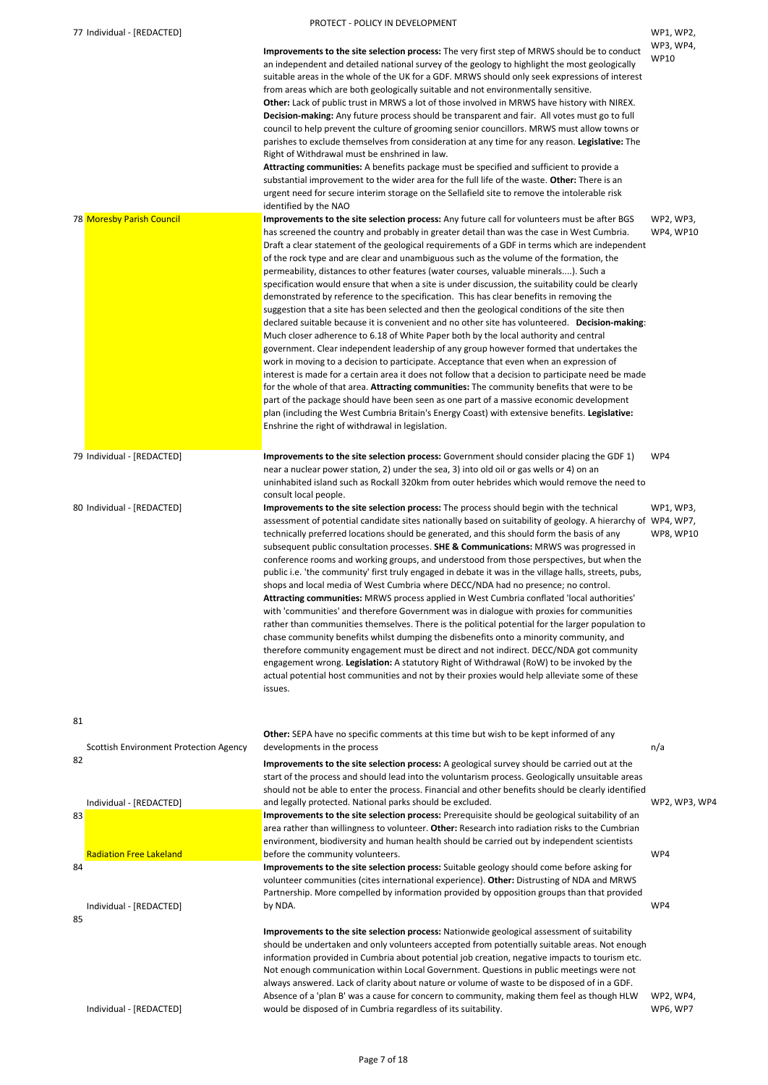| 77 Individual - [REDACTED]                          |                                                                                                                                                                                                                                                                                                                                                                                                                                                                                                                                                                                                                                                                                                                                                                                                                                                                                                                                                                                                                                                                                                                                                                                                                                                                                                                                                                                                                                                                                                                                                                                                                       | WP1, WP2,<br>WP3, WP4,        |
|-----------------------------------------------------|-----------------------------------------------------------------------------------------------------------------------------------------------------------------------------------------------------------------------------------------------------------------------------------------------------------------------------------------------------------------------------------------------------------------------------------------------------------------------------------------------------------------------------------------------------------------------------------------------------------------------------------------------------------------------------------------------------------------------------------------------------------------------------------------------------------------------------------------------------------------------------------------------------------------------------------------------------------------------------------------------------------------------------------------------------------------------------------------------------------------------------------------------------------------------------------------------------------------------------------------------------------------------------------------------------------------------------------------------------------------------------------------------------------------------------------------------------------------------------------------------------------------------------------------------------------------------------------------------------------------------|-------------------------------|
|                                                     | Improvements to the site selection process: The very first step of MRWS should be to conduct<br>an independent and detailed national survey of the geology to highlight the most geologically<br>suitable areas in the whole of the UK for a GDF. MRWS should only seek expressions of interest<br>from areas which are both geologically suitable and not environmentally sensitive.<br>Other: Lack of public trust in MRWS a lot of those involved in MRWS have history with NIREX.<br>Decision-making: Any future process should be transparent and fair. All votes must go to full<br>council to help prevent the culture of grooming senior councillors. MRWS must allow towns or<br>parishes to exclude themselves from consideration at any time for any reason. Legislative: The<br>Right of Withdrawal must be enshrined in law.<br>Attracting communities: A benefits package must be specified and sufficient to provide a<br>substantial improvement to the wider area for the full life of the waste. Other: There is an<br>urgent need for secure interim storage on the Sellafield site to remove the intolerable risk<br>identified by the NAO                                                                                                                                                                                                                                                                                                                                                                                                                                                        | <b>WP10</b>                   |
| 78 Moresby Parish Council                           | Improvements to the site selection process: Any future call for volunteers must be after BGS<br>has screened the country and probably in greater detail than was the case in West Cumbria.<br>Draft a clear statement of the geological requirements of a GDF in terms which are independent<br>of the rock type and are clear and unambiguous such as the volume of the formation, the<br>permeability, distances to other features (water courses, valuable minerals). Such a<br>specification would ensure that when a site is under discussion, the suitability could be clearly<br>demonstrated by reference to the specification. This has clear benefits in removing the<br>suggestion that a site has been selected and then the geological conditions of the site then<br>declared suitable because it is convenient and no other site has volunteered. Decision-making:<br>Much closer adherence to 6.18 of White Paper both by the local authority and central<br>government. Clear independent leadership of any group however formed that undertakes the<br>work in moving to a decision to participate. Acceptance that even when an expression of<br>interest is made for a certain area it does not follow that a decision to participate need be made<br>for the whole of that area. Attracting communities: The community benefits that were to be<br>part of the package should have been seen as one part of a massive economic development<br>plan (including the West Cumbria Britain's Energy Coast) with extensive benefits. Legislative:<br>Enshrine the right of withdrawal in legislation. | WP2, WP3,<br><b>WP4, WP10</b> |
| 79 Individual - [REDACTED]                          | Improvements to the site selection process: Government should consider placing the GDF 1)<br>near a nuclear power station, 2) under the sea, 3) into old oil or gas wells or 4) on an<br>uninhabited island such as Rockall 320km from outer hebrides which would remove the need to<br>consult local people.                                                                                                                                                                                                                                                                                                                                                                                                                                                                                                                                                                                                                                                                                                                                                                                                                                                                                                                                                                                                                                                                                                                                                                                                                                                                                                         | WP4                           |
| 80 Individual - [REDACTED]                          | Improvements to the site selection process: The process should begin with the technical<br>assessment of potential candidate sites nationally based on suitability of geology. A hierarchy of WP4, WP7,<br>technically preferred locations should be generated, and this should form the basis of any<br>subsequent public consultation processes. SHE & Communications: MRWS was progressed in<br>conference rooms and working groups, and understood from those perspectives, but when the<br>public i.e. 'the community' first truly engaged in debate it was in the village halls, streets, pubs,<br>shops and local media of West Cumbria where DECC/NDA had no presence; no control.<br>Attracting communities: MRWS process applied in West Cumbria conflated 'local authorities'<br>with 'communities' and therefore Government was in dialogue with proxies for communities<br>rather than communities themselves. There is the political potential for the larger population to<br>chase community benefits whilst dumping the disbenefits onto a minority community, and<br>therefore community engagement must be direct and not indirect. DECC/NDA got community<br>engagement wrong. Legislation: A statutory Right of Withdrawal (RoW) to be invoked by the<br>actual potential host communities and not by their proxies would help alleviate some of these<br>issues.                                                                                                                                                                                                                                | WP1, WP3,<br><b>WP8, WP10</b> |
| 81                                                  | Other: SEPA have no specific comments at this time but wish to be kept informed of any                                                                                                                                                                                                                                                                                                                                                                                                                                                                                                                                                                                                                                                                                                                                                                                                                                                                                                                                                                                                                                                                                                                                                                                                                                                                                                                                                                                                                                                                                                                                |                               |
| <b>Scottish Environment Protection Agency</b><br>82 | developments in the process<br>Improvements to the site selection process: A geological survey should be carried out at the<br>start of the process and should lead into the voluntarism process. Geologically unsuitable areas                                                                                                                                                                                                                                                                                                                                                                                                                                                                                                                                                                                                                                                                                                                                                                                                                                                                                                                                                                                                                                                                                                                                                                                                                                                                                                                                                                                       | n/a                           |

**Improvements to the site selection process:** Prerequisite should be geological suitability of an area rather than willingness to volunteer. **Other:** Research into radiation risks to the Cumbrian environment, biodiversity and human health should be carried out by independent scientists before the community volunteers. WP4

should not be able to enter the process. Financial and other benefits should be clearly identified

83

# Radiation Free Lakeland

84

Individual - [REDACTED] 85

**Improvements to the site selection process:** Suitable geology should come before asking for volunteer communities (cites international experience). **Other:** Distrusting of NDA and MRWS Partnership. More compelled by information provided by opposition groups than that provided by NDA. WP4

Individual - [REDACTED]

and legally protected. National parks should be excluded. WP2, WP3, WP4

**Improvements to the site selection process:** Nationwide geological assessment of suitability should be undertaken and only volunteers accepted from potentially suitable areas. Not enough information provided in Cumbria about potential job creation, negative impacts to tourism etc. Not enough communication within Local Government. Questions in public meetings were not always answered. Lack of clarity about nature or volume of waste to be disposed of in a GDF. Absence of a 'plan B' was a cause for concern to community, making them feel as though HLW would be disposed of in Cumbria regardless of its suitability. WP2, WP4, WP6, WP7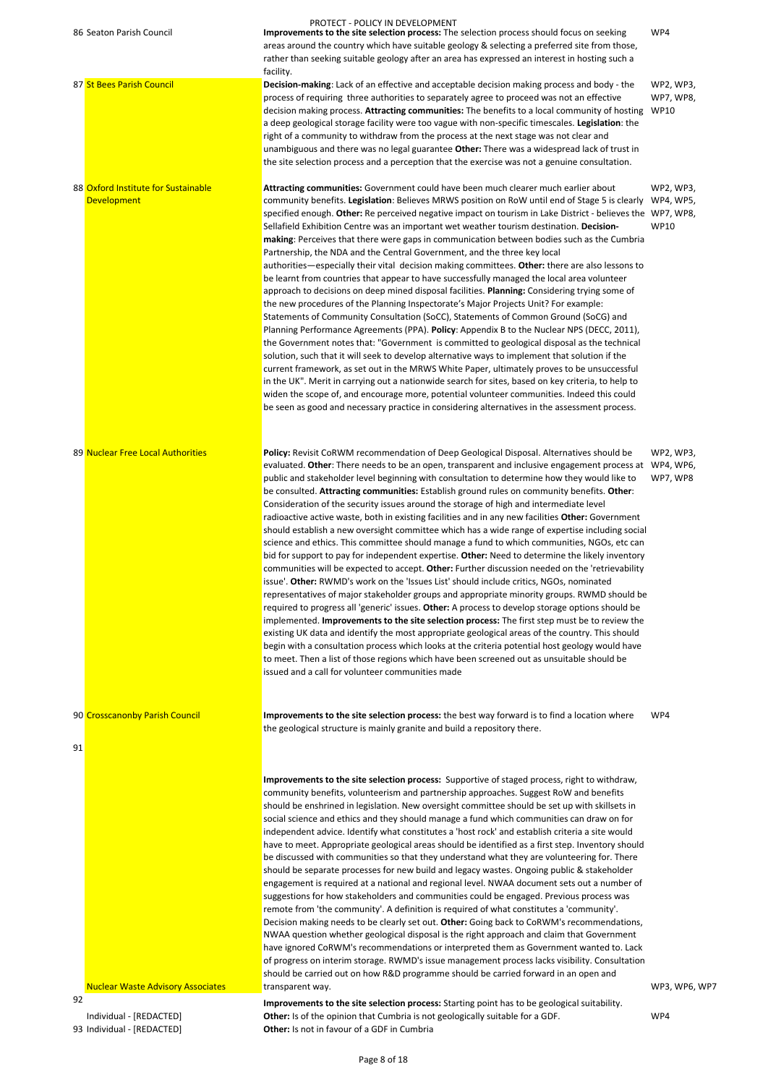|    | 86 Seaton Parish Council            | PROTECT - POLICY IN DEVELOPMENT<br>Improvements to the site selection process: The selection process should focus on seeking                                                                           | WP4                           |
|----|-------------------------------------|--------------------------------------------------------------------------------------------------------------------------------------------------------------------------------------------------------|-------------------------------|
|    |                                     | areas around the country which have suitable geology & selecting a preferred site from those,                                                                                                          |                               |
|    |                                     | rather than seeking suitable geology after an area has expressed an interest in hosting such a                                                                                                         |                               |
|    |                                     | facility.                                                                                                                                                                                              |                               |
|    | 87 St Bees Parish Council           | Decision-making: Lack of an effective and acceptable decision making process and body - the<br>process of requiring three authorities to separately agree to proceed was not an effective              | WP2, WP3,<br><b>WP7, WP8,</b> |
|    |                                     | decision making process. Attracting communities: The benefits to a local community of hosting WP10                                                                                                     |                               |
|    |                                     | a deep geological storage facility were too vague with non-specific timescales. Legislation: the                                                                                                       |                               |
|    |                                     | right of a community to withdraw from the process at the next stage was not clear and                                                                                                                  |                               |
|    |                                     | unambiguous and there was no legal guarantee Other: There was a widespread lack of trust in                                                                                                            |                               |
|    |                                     | the site selection process and a perception that the exercise was not a genuine consultation.                                                                                                          |                               |
|    | 88 Oxford Institute for Sustainable | Attracting communities: Government could have been much clearer much earlier about                                                                                                                     | WP2, WP3,                     |
|    | <b>Development</b>                  | community benefits. Legislation: Believes MRWS position on RoW until end of Stage 5 is clearly                                                                                                         | WP4, WP5,                     |
|    |                                     | specified enough. Other: Re perceived negative impact on tourism in Lake District - believes the WP7, WP8,                                                                                             |                               |
|    |                                     | Sellafield Exhibition Centre was an important wet weather tourism destination. Decision-                                                                                                               | <b>WP10</b>                   |
|    |                                     | making: Perceives that there were gaps in communication between bodies such as the Cumbria                                                                                                             |                               |
|    |                                     | Partnership, the NDA and the Central Government, and the three key local                                                                                                                               |                               |
|    |                                     | authorities—especially their vital decision making committees. Other: there are also lessons to<br>be learnt from countries that appear to have successfully managed the local area volunteer          |                               |
|    |                                     | approach to decisions on deep mined disposal facilities. Planning: Considering trying some of                                                                                                          |                               |
|    |                                     | the new procedures of the Planning Inspectorate's Major Projects Unit? For example:                                                                                                                    |                               |
|    |                                     | Statements of Community Consultation (SoCC), Statements of Common Ground (SoCG) and                                                                                                                    |                               |
|    |                                     | Planning Performance Agreements (PPA). Policy: Appendix B to the Nuclear NPS (DECC, 2011),                                                                                                             |                               |
|    |                                     | the Government notes that: "Government is committed to geological disposal as the technical                                                                                                            |                               |
|    |                                     | solution, such that it will seek to develop alternative ways to implement that solution if the<br>current framework, as set out in the MRWS White Paper, ultimately proves to be unsuccessful          |                               |
|    |                                     | in the UK". Merit in carrying out a nationwide search for sites, based on key criteria, to help to                                                                                                     |                               |
|    |                                     | widen the scope of, and encourage more, potential volunteer communities. Indeed this could                                                                                                             |                               |
|    |                                     | be seen as good and necessary practice in considering alternatives in the assessment process.                                                                                                          |                               |
|    |                                     |                                                                                                                                                                                                        |                               |
|    |                                     |                                                                                                                                                                                                        |                               |
|    | 89 Nuclear Free Local Authorities   | Policy: Revisit CoRWM recommendation of Deep Geological Disposal. Alternatives should be                                                                                                               | WP2, WP3,                     |
|    |                                     | evaluated. Other: There needs to be an open, transparent and inclusive engagement process at WP4, WP6,<br>public and stakeholder level beginning with consultation to determine how they would like to | WP7, WP8                      |
|    |                                     | be consulted. Attracting communities: Establish ground rules on community benefits. Other:                                                                                                             |                               |
|    |                                     | Consideration of the security issues around the storage of high and intermediate level                                                                                                                 |                               |
|    |                                     | radioactive active waste, both in existing facilities and in any new facilities Other: Government                                                                                                      |                               |
|    |                                     | should establish a new oversight committee which has a wide range of expertise including social                                                                                                        |                               |
|    |                                     | science and ethics. This committee should manage a fund to which communities, NGOs, etc can                                                                                                            |                               |
|    |                                     | bid for support to pay for independent expertise. Other: Need to determine the likely inventory                                                                                                        |                               |
|    |                                     | communities will be expected to accept. Other: Further discussion needed on the 'retrievability<br>issue'. Other: RWMD's work on the 'Issues List' should include critics, NGOs, nominated             |                               |
|    |                                     | representatives of major stakeholder groups and appropriate minority groups. RWMD should be                                                                                                            |                               |
|    |                                     | required to progress all 'generic' issues. Other: A process to develop storage options should be                                                                                                       |                               |
|    |                                     | implemented. Improvements to the site selection process: The first step must be to review the                                                                                                          |                               |
|    |                                     | existing UK data and identify the most appropriate geological areas of the country. This should                                                                                                        |                               |
|    |                                     | begin with a consultation process which looks at the criteria potential host geology would have                                                                                                        |                               |
|    |                                     | to meet. Then a list of those regions which have been screened out as unsuitable should be<br>issued and a call for volunteer communities made                                                         |                               |
|    |                                     |                                                                                                                                                                                                        |                               |
|    |                                     |                                                                                                                                                                                                        |                               |
|    | 90 Crosscanonby Parish Council      | Improvements to the site selection process: the best way forward is to find a location where                                                                                                           | WP4                           |
|    |                                     |                                                                                                                                                                                                        |                               |
|    |                                     | the geological structure is mainly granite and build a repository there.                                                                                                                               |                               |
| 91 |                                     |                                                                                                                                                                                                        |                               |
|    |                                     |                                                                                                                                                                                                        |                               |

Nuclear Waste Advisory Associates

**Improvements to the site selection process:** Supportive of staged process, right to withdraw, community benefits, volunteerism and partnership approaches. Suggest RoW and benefits should be enshrined in legislation. New oversight committee should be set up with skillsets in social science and ethics and they should manage a fund which communities can draw on for independent advice. Identify what constitutes a 'host rock' and establish criteria a site would have to meet. Appropriate geological areas should be identified as a first step. Inventory should be discussed with communities so that they understand what they are volunteering for. There should be separate processes for new build and legacy wastes. Ongoing public & stakeholder engagement is required at a national and regional level. NWAA document sets out a number of suggestions for how stakeholders and communities could be engaged. Previous process was remote from 'the community'. A definition is required of what constitutes a 'community'. Decision making needs to be clearly set out. **Other:** Going back to CoRWM's recommendations, NWAA question whether geological disposal is the right approach and claim that Government have ignored CoRWM's recommendations or interpreted them as Government wanted to. Lack of progress on interim storage. RWMD's issue management process lacks visibility. Consultation should be carried out on how R&D programme should be carried forward in an open and transparent way. WP3, WP6, WP7

92

Individual - [REDACTED]

**Improvements to the site selection process:** Starting point has to be geological suitability. **Other:** Is of the opinion that Cumbria is not geologically suitable for a GDF. WP4 93 Individual - [REDACTED] **Other:** Is not in favour of a GDF in Cumbria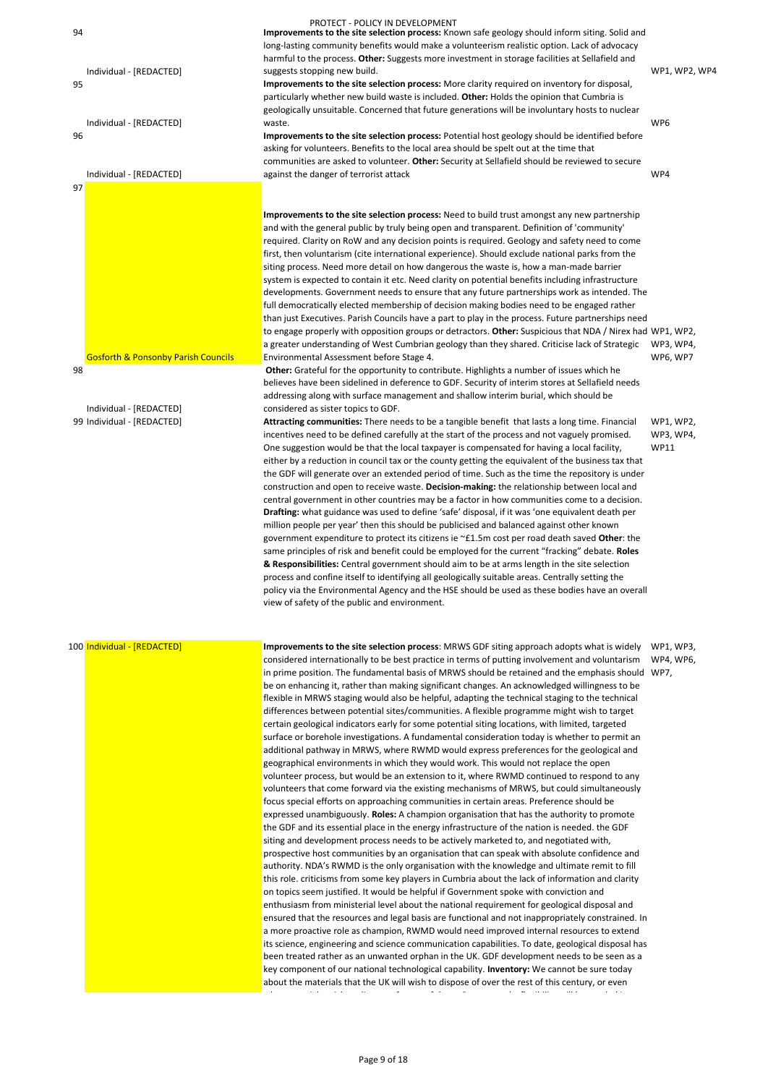|    |                                                | PROTECT - POLICY IN DEVELOPMENT                                                                                                                                                                  |                 |
|----|------------------------------------------------|--------------------------------------------------------------------------------------------------------------------------------------------------------------------------------------------------|-----------------|
| 94 |                                                | Improvements to the site selection process: Known safe geology should inform siting. Solid and                                                                                                   |                 |
|    |                                                | long-lasting community benefits would make a volunteerism realistic option. Lack of advocacy                                                                                                     |                 |
|    | Individual - [REDACTED]                        | harmful to the process. Other: Suggests more investment in storage facilities at Sellafield and<br>suggests stopping new build.                                                                  | WP1, WP2, WP4   |
| 95 |                                                | Improvements to the site selection process: More clarity required on inventory for disposal,                                                                                                     |                 |
|    |                                                | particularly whether new build waste is included. Other: Holds the opinion that Cumbria is                                                                                                       |                 |
|    |                                                | geologically unsuitable. Concerned that future generations will be involuntary hosts to nuclear                                                                                                  |                 |
|    | Individual - [REDACTED]                        | waste.                                                                                                                                                                                           | WP <sub>6</sub> |
| 96 |                                                | Improvements to the site selection process: Potential host geology should be identified before                                                                                                   |                 |
|    |                                                | asking for volunteers. Benefits to the local area should be spelt out at the time that                                                                                                           |                 |
|    | Individual - [REDACTED]                        | communities are asked to volunteer. Other: Security at Sellafield should be reviewed to secure<br>against the danger of terrorist attack                                                         | WP4             |
| 97 |                                                |                                                                                                                                                                                                  |                 |
|    |                                                |                                                                                                                                                                                                  |                 |
|    |                                                | Improvements to the site selection process: Need to build trust amongst any new partnership                                                                                                      |                 |
|    |                                                | and with the general public by truly being open and transparent. Definition of 'community'                                                                                                       |                 |
|    |                                                | required. Clarity on RoW and any decision points is required. Geology and safety need to come                                                                                                    |                 |
|    |                                                | first, then voluntarism (cite international experience). Should exclude national parks from the                                                                                                  |                 |
|    |                                                | siting process. Need more detail on how dangerous the waste is, how a man-made barrier                                                                                                           |                 |
|    |                                                | system is expected to contain it etc. Need clarity on potential benefits including infrastructure                                                                                                |                 |
|    |                                                | developments. Government needs to ensure that any future partnerships work as intended. The<br>full democratically elected membership of decision making bodies need to be engaged rather        |                 |
|    |                                                | than just Executives. Parish Councils have a part to play in the process. Future partnerships need                                                                                               |                 |
|    |                                                | to engage properly with opposition groups or detractors. Other: Suspicious that NDA / Nirex had WP1, WP2,                                                                                        |                 |
|    |                                                | a greater understanding of West Cumbrian geology than they shared. Criticise lack of Strategic                                                                                                   | WP3, WP4,       |
|    | <b>Gosforth &amp; Ponsonby Parish Councils</b> | Environmental Assessment before Stage 4.                                                                                                                                                         | WP6, WP7        |
| 98 |                                                | Other: Grateful for the opportunity to contribute. Highlights a number of issues which he                                                                                                        |                 |
|    |                                                | believes have been sidelined in deference to GDF. Security of interim stores at Sellafield needs                                                                                                 |                 |
|    | Individual - [REDACTED]                        | addressing along with surface management and shallow interim burial, which should be                                                                                                             |                 |
|    | 99 Individual - [REDACTED]                     | considered as sister topics to GDF.<br>Attracting communities: There needs to be a tangible benefit that lasts a long time. Financial                                                            | WP1, WP2,       |
|    |                                                | incentives need to be defined carefully at the start of the process and not vaguely promised.                                                                                                    | WP3, WP4,       |
|    |                                                | One suggestion would be that the local taxpayer is compensated for having a local facility,                                                                                                      | <b>WP11</b>     |
|    |                                                | either by a reduction in council tax or the county getting the equivalent of the business tax that                                                                                               |                 |
|    |                                                | the GDF will generate over an extended period of time. Such as the time the repository is under                                                                                                  |                 |
|    |                                                | construction and open to receive waste. Decision-making: the relationship between local and                                                                                                      |                 |
|    |                                                | central government in other countries may be a factor in how communities come to a decision.                                                                                                     |                 |
|    |                                                | Drafting: what guidance was used to define 'safe' disposal, if it was 'one equivalent death per                                                                                                  |                 |
|    |                                                | million people per year' then this should be publicised and balanced against other known                                                                                                         |                 |
|    |                                                | government expenditure to protect its citizens ie ~£1.5m cost per road death saved Other: the<br>same principles of risk and benefit could be employed for the current "fracking" debate. Roles  |                 |
|    |                                                | & Responsibilities: Central government should aim to be at arms length in the site selection                                                                                                     |                 |
|    |                                                | process and confine itself to identifying all geologically suitable areas. Centrally setting the                                                                                                 |                 |
|    |                                                | policy via the Environmental Agency and the HSE should be used as these bodies have an overall                                                                                                   |                 |
|    |                                                | view of safety of the public and environment.                                                                                                                                                    |                 |
|    |                                                |                                                                                                                                                                                                  |                 |
|    |                                                |                                                                                                                                                                                                  |                 |
|    | 100 Individual - [REDACTED]                    | Improvements to the site selection process: MRWS GDF siting approach adopts what is widely                                                                                                       | WP1, WP3,       |
|    |                                                | considered internationally to be best practice in terms of putting involvement and voluntarism                                                                                                   | WP4, WP6,       |
|    |                                                | in prime position. The fundamental basis of MRWS should be retained and the emphasis should WP7,                                                                                                 |                 |
|    |                                                | be on enhancing it, rather than making significant changes. An acknowledged willingness to be<br>flexible in MRWS staging would also be helpful, adapting the technical staging to the technical |                 |
|    |                                                | differences between potential sites/communities. A flexible programme might wish to target                                                                                                       |                 |
|    |                                                | certain geological indicators early for some potential siting locations, with limited, targeted                                                                                                  |                 |
|    |                                                | surface or borehole investigations. A fundamental consideration today is whether to permit an                                                                                                    |                 |
|    |                                                | additional pathway in MRWS, where RWMD would express preferences for the geological and                                                                                                          |                 |
|    |                                                | geographical environments in which they would work. This would not replace the open                                                                                                              |                 |
|    |                                                | volunteer process, but would be an extension to it, where RWMD continued to respond to any                                                                                                       |                 |
|    |                                                | volunteers that come forward via the existing mechanisms of MRWS, but could simultaneously                                                                                                       |                 |

focus special efforts on approaching communities in certain areas. Preference should be expressed unambiguously. **Roles:** A champion organisation that has the authority to promote the GDF and its essential place in the energy infrastructure of the nation is needed. the GDF siting and development process needs to be actively marketed to, and negotiated with, prospective host communities by an organisation that can speak with absolute confidence and authority. NDA's RWMD is the only organisation with the knowledge and ultimate remit to fill this role. criticisms from some key players in Cumbria about the lack of information and clarity on topics seem justified. It would be helpful if Government spoke with conviction and enthusiasm from ministerial level about the national requirement for geological disposal and ensured that the resources and legal basis are functional and not inappropriately constrained. In a more proactive role as champion, RWMD would need improved internal resources to extend its science, engineering and science communication capabilities. To date, geological disposal has been treated rather as an unwanted orphan in the UK. GDF development needs to be seen as a key component of our national technological capability. **Inventory:** We cannot be sure today about the materials that the UK will wish to dispose of over the rest of this century, or even

when we might wish to dispose of them. Consequently, flexibility will be needed in the media of them. Consequently,<br>The needed in the needed in the needed in the needed in the needed in the needed in the needed in the need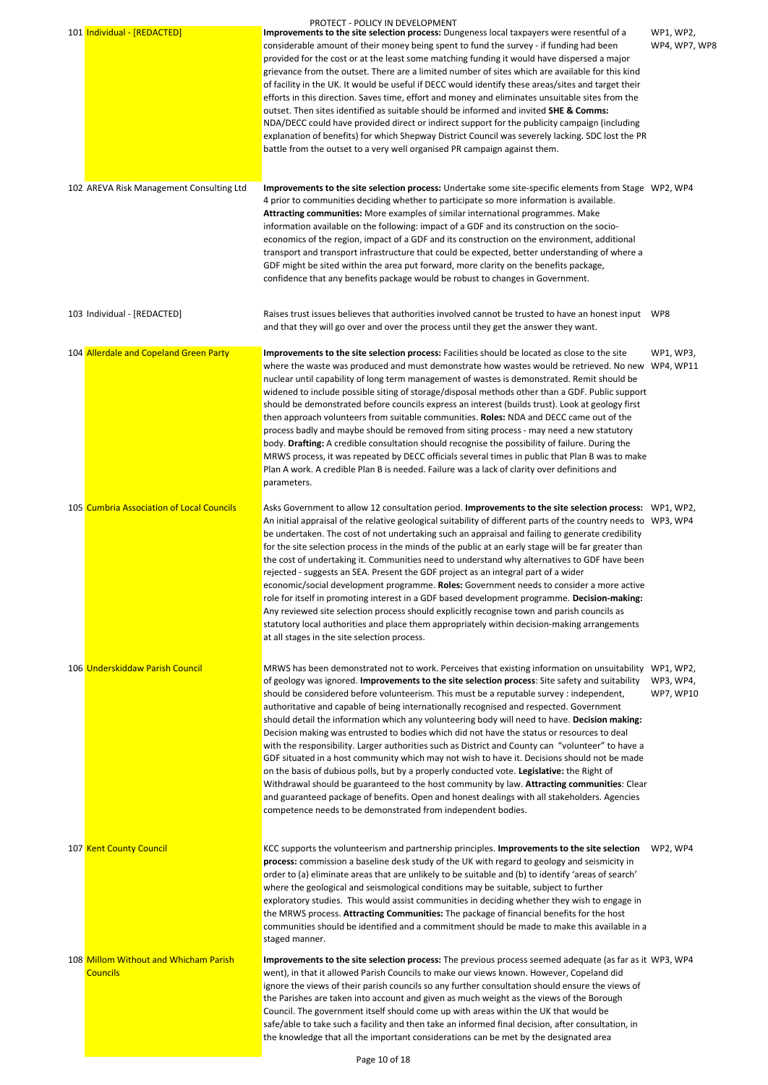| 101 Individual - [REDACTED]               | PROTECT - POLICY IN DEVELOPMENT<br>Improvements to the site selection process: Dungeness local taxpayers were resentful of a<br>considerable amount of their money being spent to fund the survey - if funding had been<br>provided for the cost or at the least some matching funding it would have dispersed a major<br>grievance from the outset. There are a limited number of sites which are available for this kind<br>of facility in the UK. It would be useful if DECC would identify these areas/sites and target their<br>efforts in this direction. Saves time, effort and money and eliminates unsuitable sites from the<br>outset. Then sites identified as suitable should be informed and invited SHE & Comms:<br>NDA/DECC could have provided direct or indirect support for the publicity campaign (including<br>explanation of benefits) for which Shepway District Council was severely lacking. SDC lost the PR<br>battle from the outset to a very well organised PR campaign against them.                                                                       | WP1, WP2,<br>WP4, WP7, WP8                 |
|-------------------------------------------|-----------------------------------------------------------------------------------------------------------------------------------------------------------------------------------------------------------------------------------------------------------------------------------------------------------------------------------------------------------------------------------------------------------------------------------------------------------------------------------------------------------------------------------------------------------------------------------------------------------------------------------------------------------------------------------------------------------------------------------------------------------------------------------------------------------------------------------------------------------------------------------------------------------------------------------------------------------------------------------------------------------------------------------------------------------------------------------------|--------------------------------------------|
| 102 AREVA Risk Management Consulting Ltd  | Improvements to the site selection process: Undertake some site-specific elements from Stage WP2, WP4<br>4 prior to communities deciding whether to participate so more information is available.<br>Attracting communities: More examples of similar international programmes. Make<br>information available on the following: impact of a GDF and its construction on the socio-<br>economics of the region, impact of a GDF and its construction on the environment, additional<br>transport and transport infrastructure that could be expected, better understanding of where a<br>GDF might be sited within the area put forward, more clarity on the benefits package,<br>confidence that any benefits package would be robust to changes in Government.                                                                                                                                                                                                                                                                                                                         |                                            |
| 103 Individual - [REDACTED]               | Raises trust issues believes that authorities involved cannot be trusted to have an honest input WP8<br>and that they will go over and over the process until they get the answer they want.                                                                                                                                                                                                                                                                                                                                                                                                                                                                                                                                                                                                                                                                                                                                                                                                                                                                                            |                                            |
| 104 Allerdale and Copeland Green Party    | Improvements to the site selection process: Facilities should be located as close to the site<br>where the waste was produced and must demonstrate how wastes would be retrieved. No new WP4, WP11<br>nuclear until capability of long term management of wastes is demonstrated. Remit should be<br>widened to include possible siting of storage/disposal methods other than a GDF. Public support<br>should be demonstrated before councils express an interest (builds trust). Look at geology first<br>then approach volunteers from suitable communities. Roles: NDA and DECC came out of the<br>process badly and maybe should be removed from siting process - may need a new statutory<br>body. Drafting: A credible consultation should recognise the possibility of failure. During the<br>MRWS process, it was repeated by DECC officials several times in public that Plan B was to make<br>Plan A work. A credible Plan B is needed. Failure was a lack of clarity over definitions and<br>parameters.                                                                    | WP1, WP3,                                  |
| 105 Cumbria Association of Local Councils | Asks Government to allow 12 consultation period. Improvements to the site selection process: WP1, WP2,<br>An initial appraisal of the relative geological suitability of different parts of the country needs to WP3, WP4<br>be undertaken. The cost of not undertaking such an appraisal and failing to generate credibility<br>for the site selection process in the minds of the public at an early stage will be far greater than<br>the cost of undertaking it. Communities need to understand why alternatives to GDF have been<br>rejected - suggests an SEA. Present the GDF project as an integral part of a wider<br>economic/social development programme. Roles: Government needs to consider a more active<br>role for itself in promoting interest in a GDF based development programme. Decision-making:<br>Any reviewed site selection process should explicitly recognise town and parish councils as<br>statutory local authorities and place them appropriately within decision-making arrangements<br>at all stages in the site selection process.                  |                                            |
| 106 Underskiddaw Parish Council           | MRWS has been demonstrated not to work. Perceives that existing information on unsuitability<br>of geology was ignored. Improvements to the site selection process: Site safety and suitability<br>should be considered before volunteerism. This must be a reputable survey : independent,<br>authoritative and capable of being internationally recognised and respected. Government<br>should detail the information which any volunteering body will need to have. Decision making:<br>Decision making was entrusted to bodies which did not have the status or resources to deal<br>with the responsibility. Larger authorities such as District and County can "volunteer" to have a<br>GDF situated in a host community which may not wish to have it. Decisions should not be made<br>on the basis of dubious polls, but by a properly conducted vote. Legislative: the Right of<br>Withdrawal should be guaranteed to the host community by law. Attracting communities: Clear<br>and guaranteed package of benefits. Open and honest dealings with all stakeholders. Agencies | WP1, WP2,<br>WP3, WP4,<br><b>WP7, WP10</b> |

# 108 Millom Without and Whicham Parish **Councils**

107 Kent County Council **Exercice Council Control** KCC supports the volunteerism and partnership principles. **Improvements to the site selection** WP2, WP4 **process:** commission a baseline desk study of the UK with regard to geology and seismicity in order to (a) eliminate areas that are unlikely to be suitable and (b) to identify 'areas of search' where the geological and seismological conditions may be suitable, subject to further exploratory studies. This would assist communities in deciding whether they wish to engage in the MRWS process. **Attracting Communities:** The package of financial benefits for the host communities should be identified and a commitment should be made to make this available in a staged manner.

competence needs to be demonstrated from independent bodies.

**Improvements to the site selection process:** The previous process seemed adequate (as far as it WP3, WP4 went), in that it allowed Parish Councils to make our views known. However, Copeland did ignore the views of their parish councils so any further consultation should ensure the views of the Parishes are taken into account and given as much weight as the views of the Borough Council. The government itself should come up with areas within the UK that would be safe/able to take such a facility and then take an informed final decision, after consultation, in the knowledge that all the important considerations can be met by the designated area

Page 10 of 18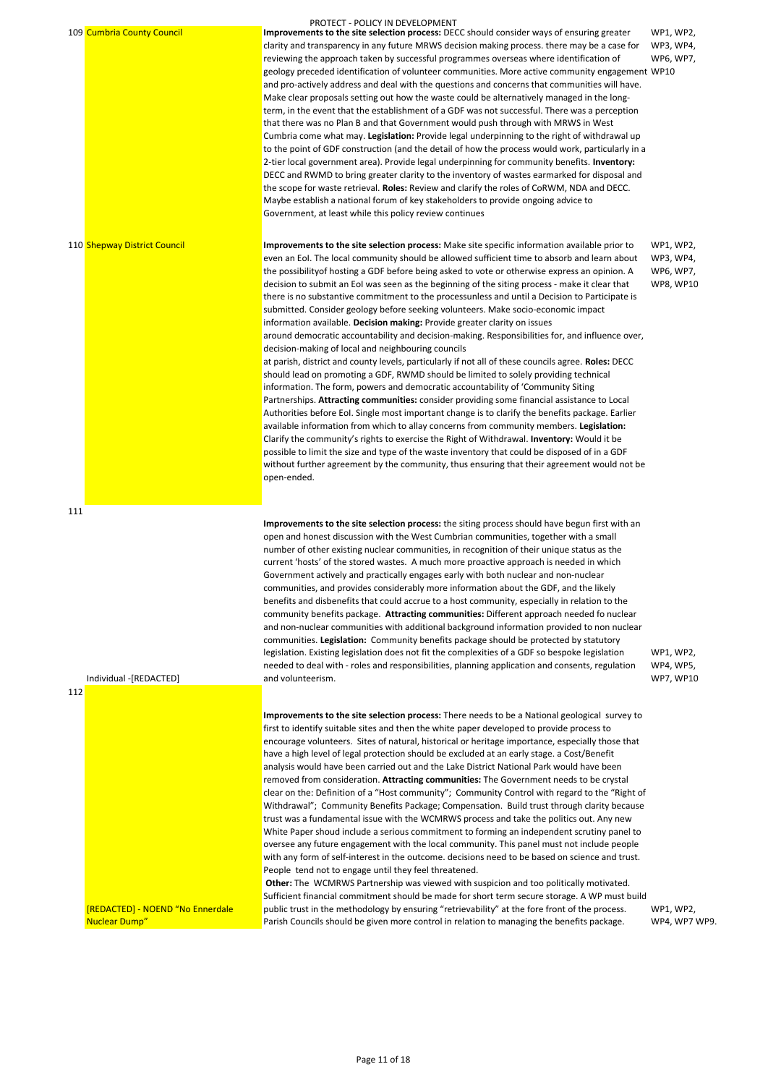|     |                              | PROTECT - POLICY IN DEVELOPMENT                                                                                                                                                                                                                                                                                                                                                                                                                                                                                                                                                                                                                                                                                                                                                                                                                                                                                                                                                                                                                                                                                                                                                                                                                                                                                                                                                                                                                                                                                                                                                                                                                                                                                              |                                                         |
|-----|------------------------------|------------------------------------------------------------------------------------------------------------------------------------------------------------------------------------------------------------------------------------------------------------------------------------------------------------------------------------------------------------------------------------------------------------------------------------------------------------------------------------------------------------------------------------------------------------------------------------------------------------------------------------------------------------------------------------------------------------------------------------------------------------------------------------------------------------------------------------------------------------------------------------------------------------------------------------------------------------------------------------------------------------------------------------------------------------------------------------------------------------------------------------------------------------------------------------------------------------------------------------------------------------------------------------------------------------------------------------------------------------------------------------------------------------------------------------------------------------------------------------------------------------------------------------------------------------------------------------------------------------------------------------------------------------------------------------------------------------------------------|---------------------------------------------------------|
|     | 109 Cumbria County Council   | Improvements to the site selection process: DECC should consider ways of ensuring greater<br>clarity and transparency in any future MRWS decision making process. there may be a case for<br>reviewing the approach taken by successful programmes overseas where identification of<br>geology preceded identification of volunteer communities. More active community engagement WP10<br>and pro-actively address and deal with the questions and concerns that communities will have.<br>Make clear proposals setting out how the waste could be alternatively managed in the long-<br>term, in the event that the establishment of a GDF was not successful. There was a perception<br>that there was no Plan B and that Government would push through with MRWS in West<br>Cumbria come what may. Legislation: Provide legal underpinning to the right of withdrawal up<br>to the point of GDF construction (and the detail of how the process would work, particularly in a<br>2-tier local government area). Provide legal underpinning for community benefits. Inventory:<br>DECC and RWMD to bring greater clarity to the inventory of wastes earmarked for disposal and<br>the scope for waste retrieval. Roles: Review and clarify the roles of CoRWM, NDA and DECC.<br>Maybe establish a national forum of key stakeholders to provide ongoing advice to<br>Government, at least while this policy review continues                                                                                                                                                                                                                                                                                               | WP1, WP2,<br>WP3, WP4,<br>WP6, WP7,                     |
|     | 110 Shepway District Council | Improvements to the site selection process: Make site specific information available prior to<br>even an EoI. The local community should be allowed sufficient time to absorb and learn about<br>the possibility of hosting a GDF before being asked to vote or otherwise express an opinion. A<br>decision to submit an EoI was seen as the beginning of the siting process - make it clear that<br>there is no substantive commitment to the processunless and until a Decision to Participate is<br>submitted. Consider geology before seeking volunteers. Make socio-economic impact<br>information available. Decision making: Provide greater clarity on issues<br>around democratic accountability and decision-making. Responsibilities for, and influence over,<br>decision-making of local and neighbouring councils<br>at parish, district and county levels, particularly if not all of these councils agree. Roles: DECC<br>should lead on promoting a GDF, RWMD should be limited to solely providing technical<br>information. The form, powers and democratic accountability of 'Community Siting<br>Partnerships. Attracting communities: consider providing some financial assistance to Local<br>Authorities before Eol. Single most important change is to clarify the benefits package. Earlier<br>available information from which to allay concerns from community members. Legislation:<br>Clarify the community's rights to exercise the Right of Withdrawal. Inventory: Would it be<br>possible to limit the size and type of the waste inventory that could be disposed of in a GDF<br>without further agreement by the community, thus ensuring that their agreement would not be<br>open-ended. | WP1, WP2,<br>WP3, WP4,<br>WP6, WP7,<br><b>WP8, WP10</b> |
| 111 | Individual -[REDACTED]       | Improvements to the site selection process: the siting process should have begun first with an<br>open and honest discussion with the West Cumbrian communities, together with a small<br>number of other existing nuclear communities, in recognition of their unique status as the<br>current 'hosts' of the stored wastes. A much more proactive approach is needed in which<br>Government actively and practically engages early with both nuclear and non-nuclear<br>communities, and provides considerably more information about the GDF, and the likely<br>benefits and disbenefits that could accrue to a host community, especially in relation to the<br>community benefits package. Attracting communities: Different approach needed fo nuclear<br>and non-nuclear communities with additional background information provided to non nuclear<br>communities. Legislation: Community benefits package should be protected by statutory<br>legislation. Existing legislation does not fit the complexities of a GDF so bespoke legislation<br>needed to deal with - roles and responsibilities, planning application and consents, regulation<br>and volunteerism.                                                                                                                                                                                                                                                                                                                                                                                                                                                                                                                                               | WP1, WP2,<br>WP4, WP5,<br>WP7, WP10                     |
| 112 |                              |                                                                                                                                                                                                                                                                                                                                                                                                                                                                                                                                                                                                                                                                                                                                                                                                                                                                                                                                                                                                                                                                                                                                                                                                                                                                                                                                                                                                                                                                                                                                                                                                                                                                                                                              |                                                         |

[REDACTED] - NOEND "No Ennerdale Nuclear Dump"

**Improvements to the site selection process:** There needs to be a National geological survey to first to identify suitable sites and then the white paper developed to provide process to encourage volunteers. Sites of natural, historical or heritage importance, especially those that have a high level of legal protection should be excluded at an early stage. a Cost/Benefit analysis would have been carried out and the Lake District National Park would have been removed from consideration. **Attracting communities:** The Government needs to be crystal clear on the: Definition of a "Host community"; Community Control with regard to the "Right of Withdrawal"; Community Benefits Package; Compensation. Build trust through clarity because trust was a fundamental issue with the WCMRWS process and take the politics out. Any new White Paper shoud include a serious commitment to forming an independent scrutiny panel to oversee any future engagement with the local community. This panel must not include people with any form of self-interest in the outcome. decisions need to be based on science and trust. People tend not to engage until they feel threatened. **Other:** The WCMRWS Partnership was viewed with suspicion and too politically motivated. Sufficient financial commitment should be made for short term secure storage. A WP must build public trust in the methodology by ensuring "retrievability" at the fore front of the process. Parish Councils should be given more control in relation to managing the benefits package. WP1, WP2, WP4, WP7 WP9.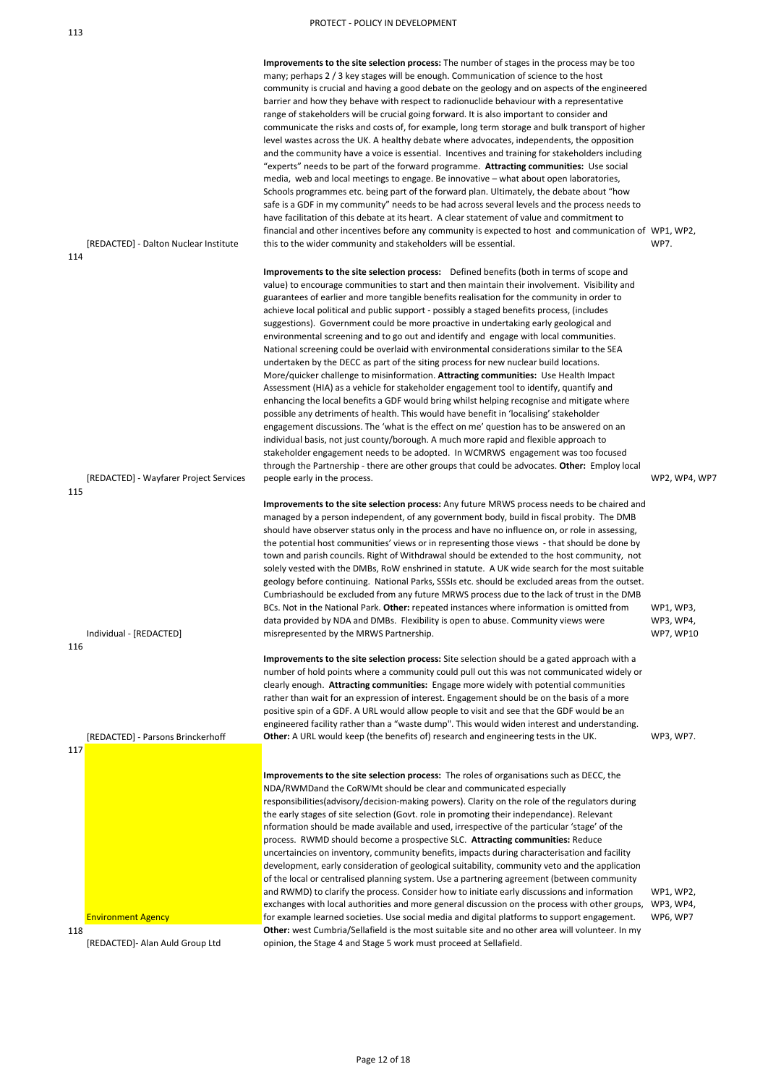[REDACTED] - Dalton Nuclear Institute 114

**Improvements to the site selection process:** The number of stages in the process may be too many; perhaps 2 / 3 key stages will be enough. Communication of science to the host community is crucial and having a good debate on the geology and on aspects of the engineered barrier and how they behave with respect to radionuclide behaviour with a representative range of stakeholders will be crucial going forward. It is also important to consider and communicate the risks and costs of, for example, long term storage and bulk transport of higher level wastes across the UK. A healthy debate where advocates, independents, the opposition and the community have a voice is essential. Incentives and training for stakeholders including "experts" needs to be part of the forward programme. **Attracting communities:** Use social media, web and local meetings to engage. Be innovative – what about open laboratories, Schools programmes etc. being part of the forward plan. Ultimately, the debate about "how safe is a GDF in my community" needs to be had across several levels and the process needs to have facilitation of this debate at its heart. A clear statement of value and commitment to financial and other incentives before any community is expected to host and communication of WP1, WP2, this to the wider community and stakeholders will be essential. WP7.

[REDACTED] - Wayfarer Project Services

**Improvements to the site selection process:** Site selection should be a gated approach with a number of hold points where a community could pull out this was not communicated widely or clearly enough. **Attracting communities:** Engage more widely with potential communities rather than wait for an expression of interest. Engagement should be on the basis of a more positive spin of a GDF. A URL would allow people to visit and see that the GDF would be an engineered facility rather than a "waste dump". This would widen interest and understanding. **Other:** A URL would keep (the benefits of) research and engineering tests in the UK. WP3, WP7.

**Improvements to the site selection process:** Defined benefits (both in terms of scope and value) to encourage communities to start and then maintain their involvement. Visibility and guarantees of earlier and more tangible benefits realisation for the community in order to achieve local political and public support - possibly a staged benefits process, (includes suggestions). Government could be more proactive in undertaking early geological and environmental screening and to go out and identify and engage with local communities. National screening could be overlaid with environmental considerations similar to the SEA undertaken by the DECC as part of the siting process for new nuclear build locations. More/quicker challenge to misinformation. **Attracting communities:** Use Health Impact Assessment (HIA) as a vehicle for stakeholder engagement tool to identify, quantify and enhancing the local benefits a GDF would bring whilst helping recognise and mitigate where possible any detriments of health. This would have benefit in 'localising' stakeholder engagement discussions. The 'what is the effect on me' question has to be answered on an individual basis, not just county/borough. A much more rapid and flexible approach to stakeholder engagement needs to be adopted. In WCMRWS engagement was too focused through the Partnership - there are other groups that could be advocates. **Other:** Employ local people early in the process. WP2, WP4, WP7

115

Individual - [REDACTED]

**Improvements to the site selection process:** Any future MRWS process needs to be chaired and managed by a person independent, of any government body, build in fiscal probity. The DMB should have observer status only in the process and have no influence on, or role in assessing, the potential host communities' views or in representing those views - that should be done by town and parish councils. Right of Withdrawal should be extended to the host community, not solely vested with the DMBs, RoW enshrined in statute. A UK wide search for the most suitable geology before continuing. National Parks, SSSIs etc. should be excluded areas from the outset. Cumbriashould be excluded from any future MRWS process due to the lack of trust in the DMB BCs. Not in the National Park. **Other:** repeated instances where information is omitted from data provided by NDA and DMBs. Flexibility is open to abuse. Community views were misrepresented by the MRWS Partnership. WP1, WP3, WP3, WP4, WP7, WP10

116

[REDACTED] - Parsons Brinckerhoff

```
117
```

|     | <b>Environment Agency</b> |  |  |  |  |  |  |
|-----|---------------------------|--|--|--|--|--|--|
| 118 |                           |  |  |  |  |  |  |
|     |                           |  |  |  |  |  |  |

**Improvements to the site selection process:** The roles of organisations such as DECC, the NDA/RWMDand the CoRWMt should be clear and communicated especially responsibilities(advisory/decision-making powers). Clarity on the role of the regulators during the early stages of site selection (Govt. role in promoting their independance). Relevant nformation should be made available and used, irrespective of the particular 'stage' of the process. RWMD should become a prospective SLC. **Attracting communities:** Reduce uncertaincies on inventory, community benefits, impacts during characterisation and facility development, early consideration of geological suitability, community veto and the application of the local or centralised planning system. Use a partnering agreement (between community and RWMD) to clarify the process. Consider how to initiate early discussions and information exchanges with local authorities and more general discussion on the process with other groups, WP3, WP4, for example learned societies. Use social media and digital platforms to support engagement. WP1, WP2, WP6, WP7 **Other:** west Cumbria/Sellafield is the most suitable site and no other area will volunteer. In my opinion, the Stage 4 and Stage 5 work must proceed at Sellafield.

[REDACTED]- Alan Auld Group Ltd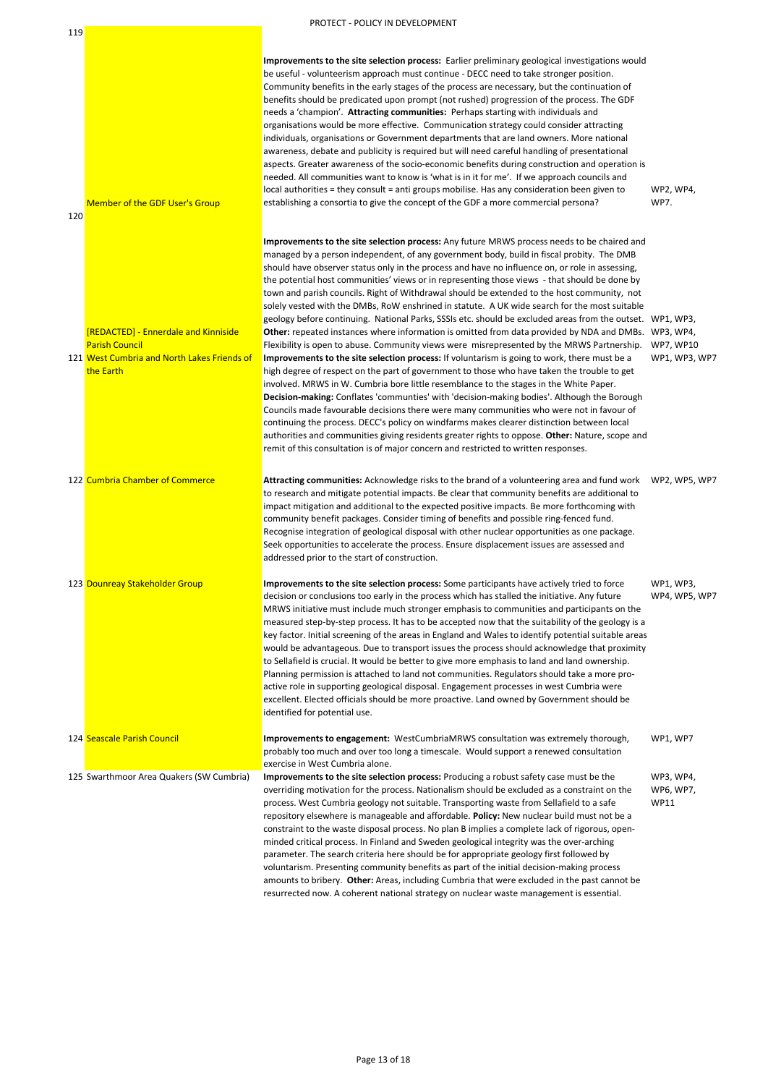| 120 | <b>Member of the GDF User's Group</b>                                                                                     | Improvements to the site selection process: Earlier preliminary geological investigations would<br>be useful - volunteerism approach must continue - DECC need to take stronger position.<br>Community benefits in the early stages of the process are necessary, but the continuation of<br>benefits should be predicated upon prompt (not rushed) progression of the process. The GDF<br>needs a 'champion'. Attracting communities: Perhaps starting with individuals and<br>organisations would be more effective. Communication strategy could consider attracting<br>individuals, organisations or Government departments that are land owners. More national<br>awareness, debate and publicity is required but will need careful handling of presentational<br>aspects. Greater awareness of the socio-economic benefits during construction and operation is<br>needed. All communities want to know is 'what is in it for me'. If we approach councils and<br>local authorities = they consult = anti groups mobilise. Has any consideration been given to<br>establishing a consortia to give the concept of the GDF a more commercial persona? | WP2, WP4,<br><b>WP7.</b>   |
|-----|---------------------------------------------------------------------------------------------------------------------------|------------------------------------------------------------------------------------------------------------------------------------------------------------------------------------------------------------------------------------------------------------------------------------------------------------------------------------------------------------------------------------------------------------------------------------------------------------------------------------------------------------------------------------------------------------------------------------------------------------------------------------------------------------------------------------------------------------------------------------------------------------------------------------------------------------------------------------------------------------------------------------------------------------------------------------------------------------------------------------------------------------------------------------------------------------------------------------------------------------------------------------------------------------|----------------------------|
|     |                                                                                                                           | Improvements to the site selection process: Any future MRWS process needs to be chaired and<br>managed by a person independent, of any government body, build in fiscal probity. The DMB<br>should have observer status only in the process and have no influence on, or role in assessing,<br>the potential host communities' views or in representing those views - that should be done by<br>town and parish councils. Right of Withdrawal should be extended to the host community, not<br>solely vested with the DMBs, RoW enshrined in statute. A UK wide search for the most suitable                                                                                                                                                                                                                                                                                                                                                                                                                                                                                                                                                               |                            |
|     | [REDACTED] - Ennerdale and Kinniside<br><b>Parish Council</b><br>121 West Cumbria and North Lakes Friends of<br>the Earth | geology before continuing. National Parks, SSSIs etc. should be excluded areas from the outset. WP1, WP3,<br>Other: repeated instances where information is omitted from data provided by NDA and DMBs. WP3, WP4,<br>Flexibility is open to abuse. Community views were misrepresented by the MRWS Partnership.<br>Improvements to the site selection process: If voluntarism is going to work, there must be a<br>high degree of respect on the part of government to those who have taken the trouble to get<br>involved. MRWS in W. Cumbria bore little resemblance to the stages in the White Paper.<br>Decision-making: Conflates 'communties' with 'decision-making bodies'. Although the Borough<br>Councils made favourable decisions there were many communities who were not in favour of<br>continuing the process. DECC's policy on windfarms makes clearer distinction between local<br>authorities and communities giving residents greater rights to oppose. Other: Nature, scope and<br>remit of this consultation is of major concern and restricted to written responses.                                                                | WP7, WP10<br>WP1, WP3, WP7 |
|     | 122 Cumbria Chamber of Commerce                                                                                           | Attracting communities: Acknowledge risks to the brand of a volunteering area and fund work<br>to research and mitigate potential impacts. Be clear that community benefits are additional to<br>impact mitigation and additional to the expected positive impacts. Be more forthcoming with<br>community benefit packages. Consider timing of benefits and possible ring-fenced fund.<br>Recognise integration of geological disposal with other nuclear opportunities as one package.<br>Seek opportunities to accelerate the process. Ensure displacement issues are assessed and<br>addressed prior to the start of construction.                                                                                                                                                                                                                                                                                                                                                                                                                                                                                                                      | WP2, WP5, WP7              |
|     | 123 Dounreay Stakeholder Group                                                                                            | Improvements to the site selection process: Some participants have actively tried to force<br>decision or conclusions too early in the process which has stalled the initiative. Any future<br>MRWS initiative must include much stronger emphasis to communities and participants on the<br>measured step-by-step process. It has to be accepted now that the suitability of the geology is a<br>key factor. Initial screening of the areas in England and Wales to identify potential suitable areas<br>would be advantageous. Due to transport issues the process should acknowledge that proximity<br>to Sellafield is crucial. It would be better to give more emphasis to land and land ownership.<br>Planning permission is attached to land not communities. Regulators should take a more pro-<br>active role in supporting geological disposal. Engagement processes in west Cumbria were<br>excellent. Elected officials should be more proactive. Land owned by Government should be<br>identified for potential use.                                                                                                                          | WP1, WP3,<br>WP4, WP5, WP7 |
|     | 124 Seascale Parish Council                                                                                               | Improvements to engagement: WestCumbriaMRWS consultation was extremely thorough,<br>probably too much and over too long a timescale. Would support a renewed consultation<br>exercise in West Cumbria alone.                                                                                                                                                                                                                                                                                                                                                                                                                                                                                                                                                                                                                                                                                                                                                                                                                                                                                                                                               | WP1, WP7                   |
|     | 125 Swarthmoor Area Quakers (SW Cumbria)                                                                                  | Improvements to the site selection process: Producing a robust safety case must be the<br>overriding motivation for the process. Nationalism should be excluded as a constraint on the                                                                                                                                                                                                                                                                                                                                                                                                                                                                                                                                                                                                                                                                                                                                                                                                                                                                                                                                                                     | WP3, WP4,<br>WP6, WP7,     |

process. West Cumbria geology not suitable. Transporting waste from Sellafield to a safe repository elsewhere is manageable and affordable. **Policy:** New nuclear build must not be a constraint to the waste disposal process. No plan B implies a complete lack of rigorous, openminded critical process. In Finland and Sweden geological integrity was the over-arching parameter. The search criteria here should be for appropriate geology first followed by voluntarism. Presenting community benefits as part of the initial decision-making process amounts to bribery. **Other:** Areas, including Cumbria that were excluded in the past cannot be resurrected now. A coherent national strategy on nuclear waste management is essential. WP11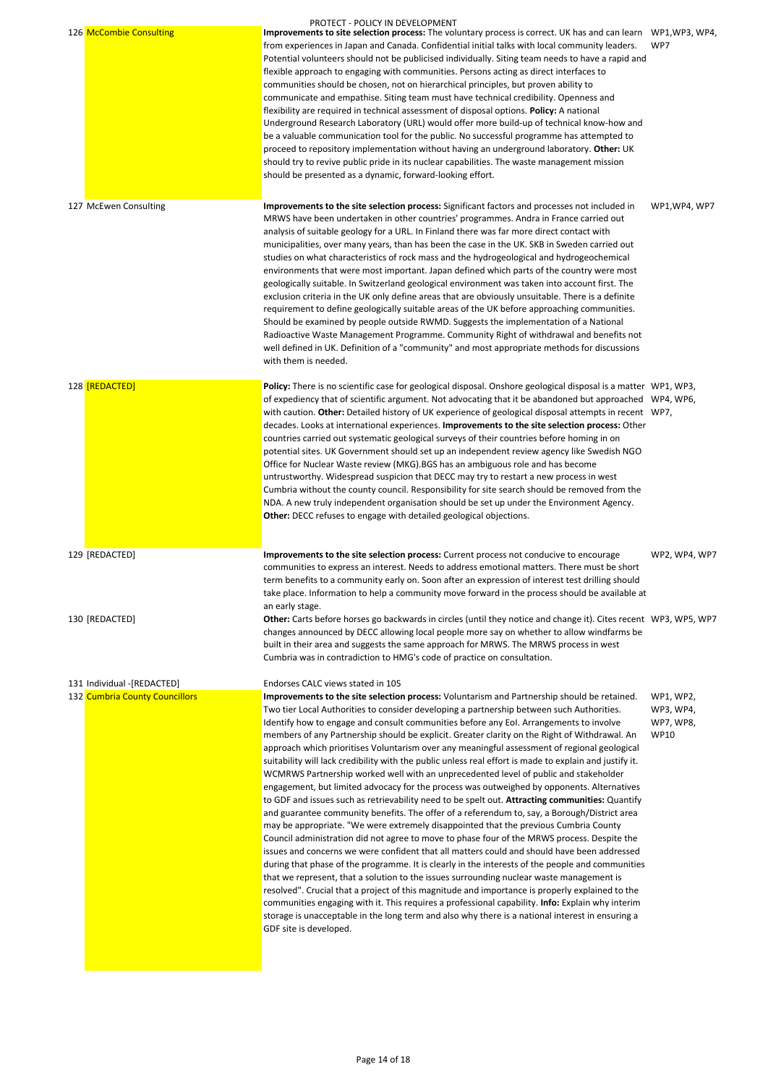and guarantee community benefits. The offer of a referendum to, say, a Borough/District area may be appropriate. "We were extremely disappointed that the previous Cumbria County Council administration did not agree to move to phase four of the MRWS process. Despite the issues and concerns we were confident that all matters could and should have been addressed during that phase of the programme. It is clearly in the interests of the people and communities that we represent, that a solution to the issues surrounding nuclear waste management is resolved". Crucial that a project of this magnitude and importance is properly explained to the communities engaging with it. This requires a professional capability. **Info:** Explain why interim storage is unacceptable in the long term and also why there is a national interest in ensuring a GDF site is developed.

|                                                              | PROTECT - POLICY IN DEVELOPMENT                                                                                                                                                                                                                                                                                                                                                                                                                                                                                                                                                                                                                                                                                                                                                                                                                                                                                                                                                                                                                                                                                                                                                               |                                                           |
|--------------------------------------------------------------|-----------------------------------------------------------------------------------------------------------------------------------------------------------------------------------------------------------------------------------------------------------------------------------------------------------------------------------------------------------------------------------------------------------------------------------------------------------------------------------------------------------------------------------------------------------------------------------------------------------------------------------------------------------------------------------------------------------------------------------------------------------------------------------------------------------------------------------------------------------------------------------------------------------------------------------------------------------------------------------------------------------------------------------------------------------------------------------------------------------------------------------------------------------------------------------------------|-----------------------------------------------------------|
| 126 McCombie Consulting                                      | Improvements to site selection process: The voluntary process is correct. UK has and can learn WP1, WP3, WP4,<br>from experiences in Japan and Canada. Confidential initial talks with local community leaders.<br>Potential volunteers should not be publicised individually. Siting team needs to have a rapid and<br>flexible approach to engaging with communities. Persons acting as direct interfaces to<br>communities should be chosen, not on hierarchical principles, but proven ability to<br>communicate and empathise. Siting team must have technical credibility. Openness and<br>flexibility are required in technical assessment of disposal options. Policy: A national<br>Underground Research Laboratory (URL) would offer more build-up of technical know-how and<br>be a valuable communication tool for the public. No successful programme has attempted to<br>proceed to repository implementation without having an underground laboratory. Other: UK<br>should try to revive public pride in its nuclear capabilities. The waste management mission<br>should be presented as a dynamic, forward-looking effort.                                                   | WP7                                                       |
| 127 McEwen Consulting                                        | Improvements to the site selection process: Significant factors and processes not included in<br>MRWS have been undertaken in other countries' programmes. Andra in France carried out<br>analysis of suitable geology for a URL. In Finland there was far more direct contact with<br>municipalities, over many years, than has been the case in the UK. SKB in Sweden carried out<br>studies on what characteristics of rock mass and the hydrogeological and hydrogeochemical<br>environments that were most important. Japan defined which parts of the country were most<br>geologically suitable. In Switzerland geological environment was taken into account first. The<br>exclusion criteria in the UK only define areas that are obviously unsuitable. There is a definite<br>requirement to define geologically suitable areas of the UK before approaching communities.<br>Should be examined by people outside RWMD. Suggests the implementation of a National<br>Radioactive Waste Management Programme. Community Right of withdrawal and benefits not<br>well defined in UK. Definition of a "community" and most appropriate methods for discussions<br>with them is needed. | WP1, WP4, WP7                                             |
| 128 [REDACTED]                                               | Policy: There is no scientific case for geological disposal. Onshore geological disposal is a matter WP1, WP3,<br>of expediency that of scientific argument. Not advocating that it be abandoned but approached WP4, WP6,<br>with caution. Other: Detailed history of UK experience of geological disposal attempts in recent WP7,<br>decades. Looks at international experiences. Improvements to the site selection process: Other<br>countries carried out systematic geological surveys of their countries before homing in on<br>potential sites. UK Government should set up an independent review agency like Swedish NGO<br>Office for Nuclear Waste review (MKG). BGS has an ambiguous role and has become<br>untrustworthy. Widespread suspicion that DECC may try to restart a new process in west<br>Cumbria without the county council. Responsibility for site search should be removed from the<br>NDA. A new truly independent organisation should be set up under the Environment Agency.<br>Other: DECC refuses to engage with detailed geological objections.                                                                                                              |                                                           |
| 129 [REDACTED]                                               | Improvements to the site selection process: Current process not conducive to encourage<br>communities to express an interest. Needs to address emotional matters. There must be short<br>term benefits to a community early on. Soon after an expression of interest test drilling should<br>take place. Information to help a community move forward in the process should be available at<br>an early stage.                                                                                                                                                                                                                                                                                                                                                                                                                                                                                                                                                                                                                                                                                                                                                                                | WP2, WP4, WP7                                             |
| 130 [REDACTED]                                               | Other: Carts before horses go backwards in circles (until they notice and change it). Cites recent WP3, WP5, WP7<br>changes announced by DECC allowing local people more say on whether to allow windfarms be<br>built in their area and suggests the same approach for MRWS. The MRWS process in west<br>Cumbria was in contradiction to HMG's code of practice on consultation.                                                                                                                                                                                                                                                                                                                                                                                                                                                                                                                                                                                                                                                                                                                                                                                                             |                                                           |
| 131 Individual -[REDACTED]<br>132 Cumbria County Councillors | Endorses CALC views stated in 105<br>Improvements to the site selection process: Voluntarism and Partnership should be retained.<br>Two tier Local Authorities to consider developing a partnership between such Authorities.<br>Identify how to engage and consult communities before any EoI. Arrangements to involve<br>members of any Partnership should be explicit. Greater clarity on the Right of Withdrawal. An<br>approach which prioritises Voluntarism over any meaningful assessment of regional geological<br>suitability will lack credibility with the public unless real effort is made to explain and justify it.<br>WCMRWS Partnership worked well with an unprecedented level of public and stakeholder<br>engagement, but limited advocacy for the process was outweighed by opponents. Alternatives                                                                                                                                                                                                                                                                                                                                                                     | WP1, WP2,<br>WP3, WP4,<br><b>WP7, WP8,</b><br><b>WP10</b> |

to GDF and issues such as retrievability need to be spelt out. **Attracting communities:** Quantify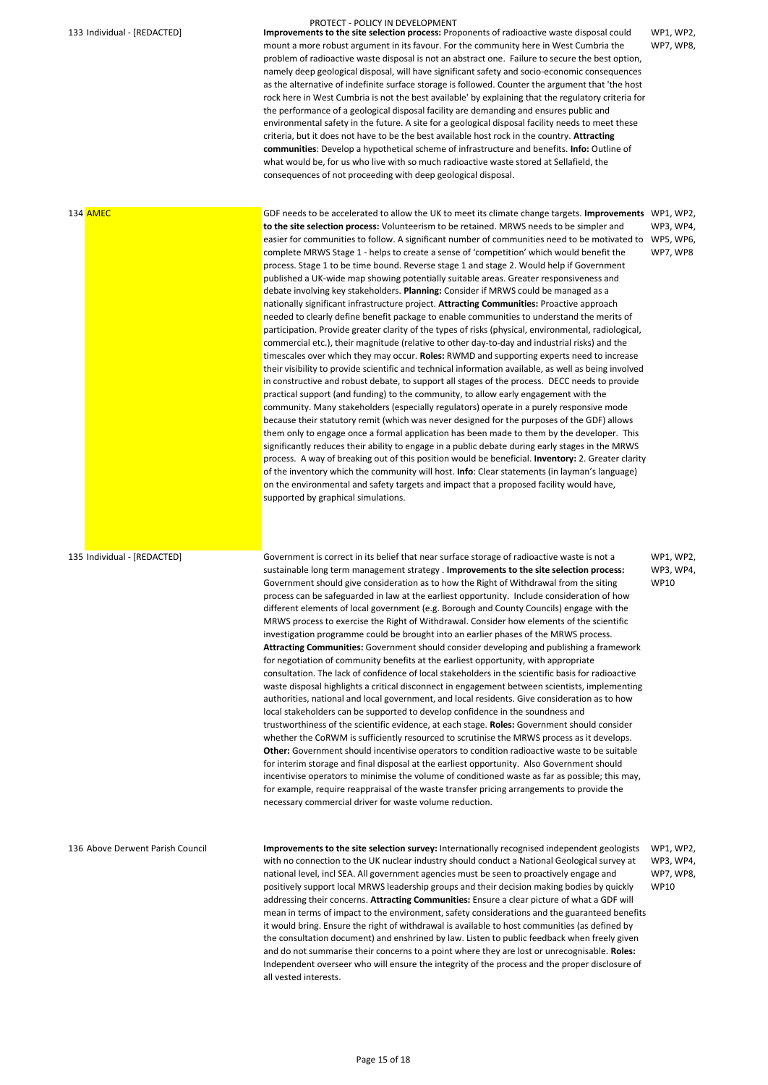133 Individual - [REDACTED] **Improvements to the site selection process:** Proponents of radioactive waste disposal could mount a more robust argument in its favour. For the community here in West Cumbria the problem of radioactive waste disposal is not an abstract one. Failure to secure the best option, namely deep geological disposal, will have significant safety and socio-economic consequences as the alternative of indefinite surface storage is followed. Counter the argument that 'the host rock here in West Cumbria is not the best available' by explaining that the regulatory criteria for the performance of a geological disposal facility are demanding and ensures public and environmental safety in the future. A site for a geological disposal facility needs to meet these criteria, but it does not have to be the best available host rock in the country. **Attracting communities**: Develop a hypothetical scheme of infrastructure and benefits. **Info:** Outline of what would be, for us who live with so much radioactive waste stored at Sellafield, the consequences of not proceeding with deep geological disposal.

WP1, WP2, WP7, WP8,

134 AMEC GDF needs to be accelerated to allow the UK to meet its climate change targets. **Improvements**  WP1, WP2, **to the site selection process:** Volunteerism to be retained. MRWS needs to be simpler and easier for communities to follow. A significant number of communities need to be motivated to WP5, WP6, complete MRWS Stage 1 - helps to create a sense of 'competition' which would benefit the process. Stage 1 to be time bound. Reverse stage 1 and stage 2. Would help if Government published a UK-wide map showing potentially suitable areas. Greater responsiveness and debate involving key stakeholders. **Planning:** Consider if MRWS could be managed as a nationally significant infrastructure project. **Attracting Communities:** Proactive approach needed to clearly define benefit package to enable communities to understand the merits of participation. Provide greater clarity of the types of risks (physical, environmental, radiological, commercial etc.), their magnitude (relative to other day-to-day and industrial risks) and the timescales over which they may occur. **Roles:** RWMD and supporting experts need to increase their visibility to provide scientific and technical information available, as well as being involved in constructive and robust debate, to support all stages of the process. DECC needs to provide practical support (and funding) to the community, to allow early engagement with the community. Many stakeholders (especially regulators) operate in a purely responsive mode because their statutory remit (which was never designed for the purposes of the GDF) allows them only to engage once a formal application has been made to them by the developer. This significantly reduces their ability to engage in a public debate during early stages in the MRWS process. A way of breaking out of this position would be beneficial. **Inventory:** 2. Greater clarity of the inventory which the community will host. **Info**: Clear statements (in layman's language) on the environmental and safety targets and impact that a proposed facility would have, supported by graphical simulations. WP3, WP4, WP7, WP8

135 Individual - [REDACTED] Government is correct in its belief that near surface storage of radioactive waste is not a sustainable long term management strategy . **Improvements to the site selection process:**  Government should give consideration as to how the Right of Withdrawal from the siting process can be safeguarded in law at the earliest opportunity. Include consideration of how different elements of local government (e.g. Borough and County Councils) engage with the MRWS process to exercise the Right of Withdrawal. Consider how elements of the scientific investigation programme could be brought into an earlier phases of the MRWS process. **Attracting Communities:** Government should consider developing and publishing a framework for negotiation of community benefits at the earliest opportunity, with appropriate consultation. The lack of confidence of local stakeholders in the scientific basis for radioactive waste disposal highlights a critical disconnect in engagement between scientists, implementing authorities, national and local government, and local residents. Give consideration as to how local stakeholders can be supported to develop confidence in the soundness and trustworthiness of the scientific evidence, at each stage. **Roles:** Government should consider whether the CoRWM is sufficiently resourced to scrutinise the MRWS process as it develops. **Other:** Government should incentivise operators to condition radioactive waste to be suitable for interim storage and final disposal at the earliest opportunity. Also Government should incentivise operators to minimise the volume of conditioned waste as far as possible; this may, for example, require reappraisal of the waste transfer pricing arrangements to provide the

WP1, WP2, WP3, WP4, WP10

136 Above Derwent Parish Council **Improvements to the site selection survey:** Internationally recognised independent geologists WP1, WP2, with no connection to the UK nuclear industry should conduct a National Geological survey at national level, incl SEA. All government agencies must be seen to proactively engage and positively support local MRWS leadership groups and their decision making bodies by quickly addressing their concerns. **Attracting Communities:** Ensure a clear picture of what a GDF will mean in terms of impact to the environment, safety considerations and the guaranteed benefits it would bring. Ensure the right of withdrawal is available to host communities (as defined by the consultation document) and enshrined by law. Listen to public feedback when freely given and do not summarise their concerns to a point where they are lost or unrecognisable. **Roles:**  Independent overseer who will ensure the integrity of the process and the proper disclosure of all vested interests. WP3, WP4, WP7, WP8, WP10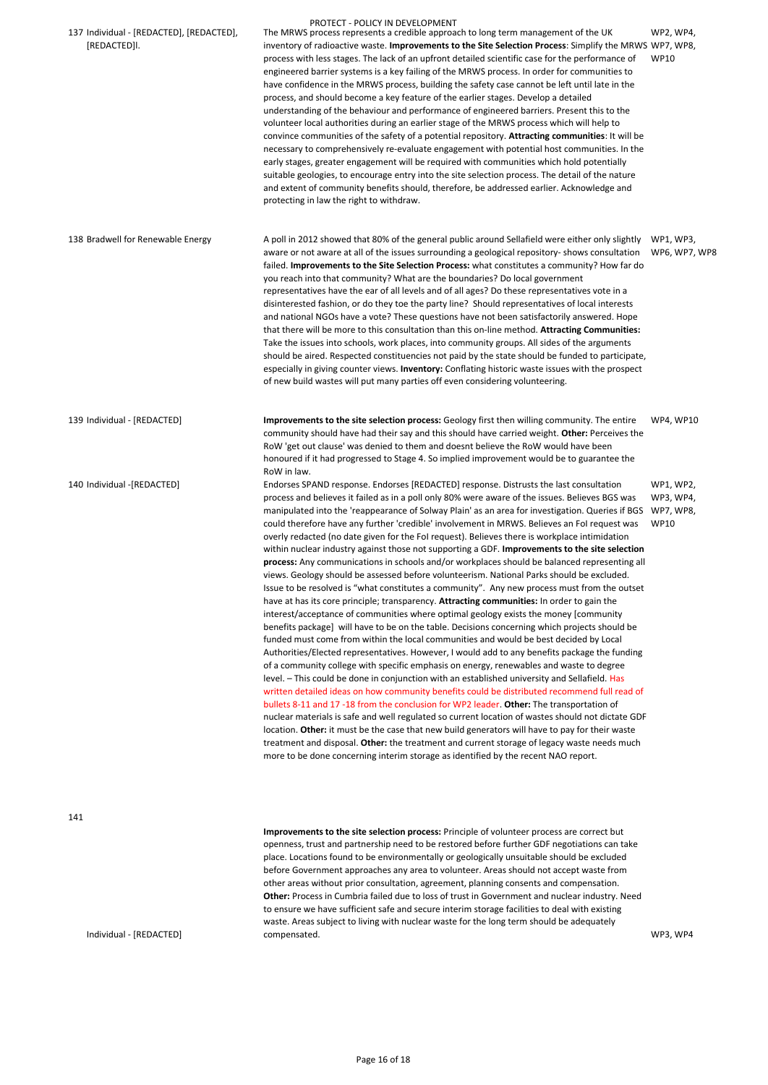| 137 Individual - [REDACTED], [REDACTED],<br>[REDACTED]I. | PROTECT - POLICY IN DEVELOPMENT<br>The MRWS process represents a credible approach to long term management of the UK<br>inventory of radioactive waste. Improvements to the Site Selection Process: Simplify the MRWS WP7, WP8,<br>process with less stages. The lack of an upfront detailed scientific case for the performance of<br>engineered barrier systems is a key failing of the MRWS process. In order for communities to<br>have confidence in the MRWS process, building the safety case cannot be left until late in the<br>process, and should become a key feature of the earlier stages. Develop a detailed<br>understanding of the behaviour and performance of engineered barriers. Present this to the<br>volunteer local authorities during an earlier stage of the MRWS process which will help to<br>convince communities of the safety of a potential repository. Attracting communities: It will be<br>necessary to comprehensively re-evaluate engagement with potential host communities. In the<br>early stages, greater engagement will be required with communities which hold potentially<br>suitable geologies, to encourage entry into the site selection process. The detail of the nature<br>and extent of community benefits should, therefore, be addressed earlier. Acknowledge and<br>protecting in law the right to withdraw.                                                                                                                                                                                                                                                                                                                                                                                                                                                                                                                                                                                                                                                                                                                                                                                                | WP2, WP4,<br><b>WP10</b>                           |
|----------------------------------------------------------|---------------------------------------------------------------------------------------------------------------------------------------------------------------------------------------------------------------------------------------------------------------------------------------------------------------------------------------------------------------------------------------------------------------------------------------------------------------------------------------------------------------------------------------------------------------------------------------------------------------------------------------------------------------------------------------------------------------------------------------------------------------------------------------------------------------------------------------------------------------------------------------------------------------------------------------------------------------------------------------------------------------------------------------------------------------------------------------------------------------------------------------------------------------------------------------------------------------------------------------------------------------------------------------------------------------------------------------------------------------------------------------------------------------------------------------------------------------------------------------------------------------------------------------------------------------------------------------------------------------------------------------------------------------------------------------------------------------------------------------------------------------------------------------------------------------------------------------------------------------------------------------------------------------------------------------------------------------------------------------------------------------------------------------------------------------------------------------------------------------------------------------------------------------------|----------------------------------------------------|
| 138 Bradwell for Renewable Energy                        | A poll in 2012 showed that 80% of the general public around Sellafield were either only slightly<br>aware or not aware at all of the issues surrounding a geological repository- shows consultation<br>failed. Improvements to the Site Selection Process: what constitutes a community? How far do<br>you reach into that community? What are the boundaries? Do local government<br>representatives have the ear of all levels and of all ages? Do these representatives vote in a<br>disinterested fashion, or do they toe the party line? Should representatives of local interests<br>and national NGOs have a vote? These questions have not been satisfactorily answered. Hope<br>that there will be more to this consultation than this on-line method. Attracting Communities:<br>Take the issues into schools, work places, into community groups. All sides of the arguments<br>should be aired. Respected constituencies not paid by the state should be funded to participate,<br>especially in giving counter views. Inventory: Conflating historic waste issues with the prospect<br>of new build wastes will put many parties off even considering volunteering.                                                                                                                                                                                                                                                                                                                                                                                                                                                                                                                                                                                                                                                                                                                                                                                                                                                                                                                                                                                    | WP1, WP3,<br>WP6, WP7, WP8                         |
| 139 Individual - [REDACTED]                              | Improvements to the site selection process: Geology first then willing community. The entire<br>community should have had their say and this should have carried weight. Other: Perceives the<br>RoW 'get out clause' was denied to them and doesnt believe the RoW would have been<br>honoured if it had progressed to Stage 4. So implied improvement would be to guarantee the<br>RoW in law.                                                                                                                                                                                                                                                                                                                                                                                                                                                                                                                                                                                                                                                                                                                                                                                                                                                                                                                                                                                                                                                                                                                                                                                                                                                                                                                                                                                                                                                                                                                                                                                                                                                                                                                                                                    | WP4, WP10                                          |
| 140 Individual -[REDACTED]                               | Endorses SPAND response. Endorses [REDACTED] response. Distrusts the last consultation<br>process and believes it failed as in a poll only 80% were aware of the issues. Believes BGS was<br>manipulated into the 'reappearance of Solway Plain' as an area for investigation. Queries if BGS<br>could therefore have any further 'credible' involvement in MRWS. Believes an Fol request was<br>overly redacted (no date given for the FoI request). Believes there is workplace intimidation<br>within nuclear industry against those not supporting a GDF. Improvements to the site selection<br>process: Any communications in schools and/or workplaces should be balanced representing all<br>views. Geology should be assessed before volunteerism. National Parks should be excluded.<br>Issue to be resolved is "what constitutes a community". Any new process must from the outset<br>have at has its core principle; transparency. Attracting communities: In order to gain the<br>interest/acceptance of communities where optimal geology exists the money [community<br>benefits package] will have to be on the table. Decisions concerning which projects should be<br>funded must come from within the local communities and would be best decided by Local<br>Authorities/Elected representatives. However, I would add to any benefits package the funding<br>of a community college with specific emphasis on energy, renewables and waste to degree<br>level. - This could be done in conjunction with an established university and Sellafield. Has<br>written detailed ideas on how community benefits could be distributed recommend full read of<br>bullets 8-11 and 17 -18 from the conclusion for WP2 leader. Other: The transportation of<br>nuclear materials is safe and well regulated so current location of wastes should not dictate GDF<br>location. Other: it must be the case that new build generators will have to pay for their waste<br>treatment and disposal. Other: the treatment and current storage of legacy waste needs much<br>more to be done concerning interim storage as identified by the recent NAO report. | WP1, WP2,<br>WP3, WP4,<br>WP7, WP8,<br><b>WP10</b> |

Individual - [REDACTED]

**Improvements to the site selection process:** Principle of volunteer process are correct but openness, trust and partnership need to be restored before further GDF negotiations can take place. Locations found to be environmentally or geologically unsuitable should be excluded before Government approaches any area to volunteer. Areas should not accept waste from other areas without prior consultation, agreement, planning consents and compensation. **Other:** Process in Cumbria failed due to loss of trust in Government and nuclear industry. Need to ensure we have sufficient safe and secure interim storage facilities to deal with existing waste. Areas subject to living with nuclear waste for the long term should be adequately compensated. WP3, WP4

Page 16 of 18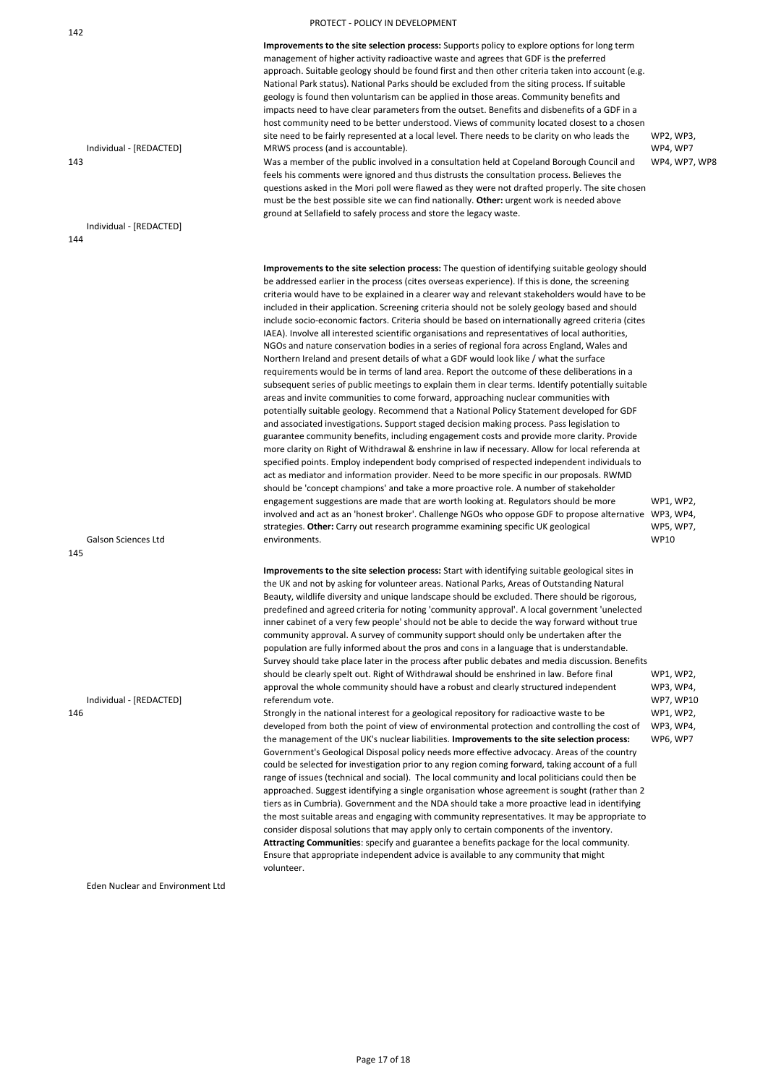### 142

**Improvements to the site selection process:** Supports policy to explore options for long term management of higher activity radioactive waste and agrees that GDF is the preferred approach. Suitable geology should be found first and then other criteria taken into account (e.g. National Park status). National Parks should be excluded from the siting process. If suitable geology is found then voluntarism can be applied in those areas. Community benefits and impacts need to have clear parameters from the outset. Benefits and disbenefits of a GDF in a host community need to be better understood. Views of community located closest to a chosen site need to be fairly represented at a local level. There needs to be clarity on who leads the MRWS process (and is accountable).

Individual - [REDACTED] 143

WP2, WP3, WP4, WP7 WP4, WP7, WP8

Individual - [REDACTED] 144

Was a member of the public involved in a consultation held at Copeland Borough Council and feels his comments were ignored and thus distrusts the consultation process. Believes the questions asked in the Mori poll were flawed as they were not drafted properly. The site chosen must be the best possible site we can find nationally. **Other:** urgent work is needed above ground at Sellafield to safely process and store the legacy waste.

Galson Sciences Ltd

**Improvements to the site selection process:** The question of identifying suitable geology should be addressed earlier in the process (cites overseas experience). If this is done, the screening criteria would have to be explained in a clearer way and relevant stakeholders would have to be included in their application. Screening criteria should not be solely geology based and should include socio-economic factors. Criteria should be based on internationally agreed criteria (cites IAEA). Involve all interested scientific organisations and representatives of local authorities, NGOs and nature conservation bodies in a series of regional fora across England, Wales and Northern Ireland and present details of what a GDF would look like / what the surface requirements would be in terms of land area. Report the outcome of these deliberations in a subsequent series of public meetings to explain them in clear terms. Identify potentially suitable areas and invite communities to come forward, approaching nuclear communities with potentially suitable geology. Recommend that a National Policy Statement developed for GDF and associated investigations. Support staged decision making process. Pass legislation to guarantee community benefits, including engagement costs and provide more clarity. Provide more clarity on Right of Withdrawal & enshrine in law if necessary. Allow for local referenda at specified points. Employ independent body comprised of respected independent individuals to act as mediator and information provider. Need to be more specific in our proposals. RWMD should be 'concept champions' and take a more proactive role. A number of stakeholder engagement suggestions are made that are worth looking at. Regulators should be more involved and act as an 'honest broker'. Challenge NGOs who oppose GDF to propose alternative WP3, WP4, strategies. **Other:** Carry out research programme examining specific UK geological environments. WP1, WP2, WP5, WP7, WP10

145

Individual - [REDACTED]

**Improvements to the site selection process:** Start with identifying suitable geological sites in the UK and not by asking for volunteer areas. National Parks, Areas of Outstanding Natural Beauty, wildlife diversity and unique landscape should be excluded. There should be rigorous, predefined and agreed criteria for noting 'community approval'. A local government 'unelected inner cabinet of a very few people' should not be able to decide the way forward without true community approval. A survey of community support should only be undertaken after the population are fully informed about the pros and cons in a language that is understandable. Survey should take place later in the process after public debates and media discussion. Benefits should be clearly spelt out. Right of Withdrawal should be enshrined in law. Before final approval the whole community should have a robust and clearly structured independent referendum vote. WP1, WP2, WP3, WP4, WP7, WP10

146

Eden Nuclear and Environment Ltd

Strongly in the national interest for a geological repository for radioactive waste to be developed from both the point of view of environmental protection and controlling the cost of the management of the UK's nuclear liabilities. **Improvements to the site selection process:**  Government's Geological Disposal policy needs more effective advocacy. Areas of the country could be selected for investigation prior to any region coming forward, taking account of a full range of issues (technical and social). The local community and local politicians could then be approached. Suggest identifying a single organisation whose agreement is sought (rather than 2 tiers as in Cumbria). Government and the NDA should take a more proactive lead in identifying the most suitable areas and engaging with community representatives. It may be appropriate to consider disposal solutions that may apply only to certain components of the inventory. **Attracting Communities**: specify and guarantee a benefits package for the local community. Ensure that appropriate independent advice is available to any community that might volunteer. WP1, WP2, WP3, WP4, WP6, WP7